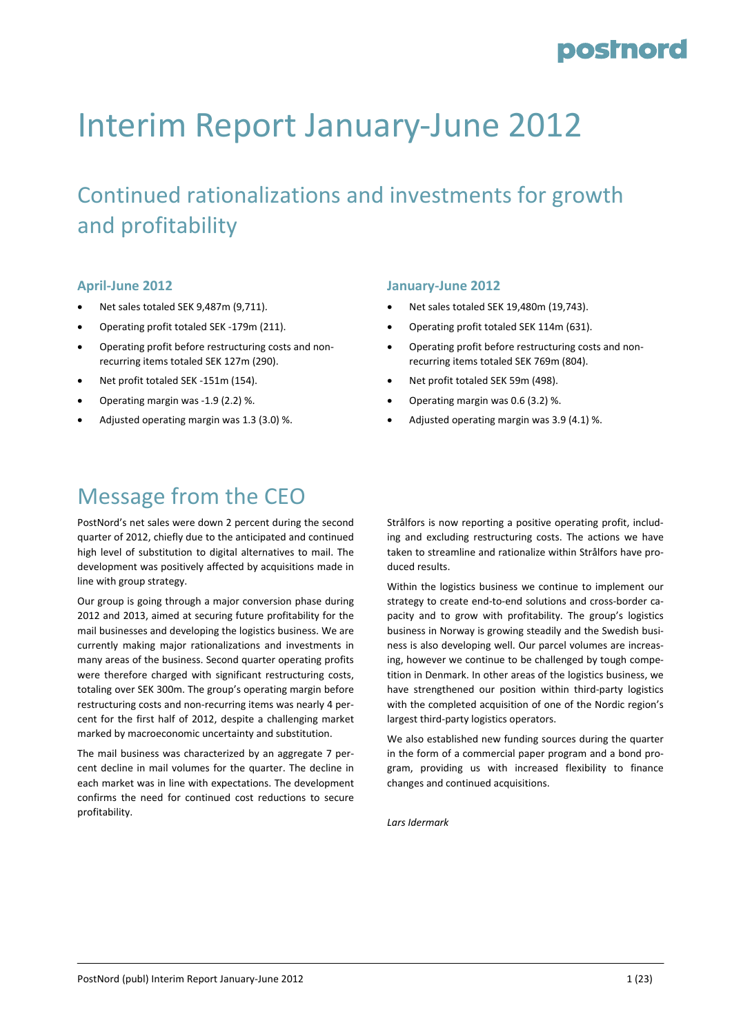# Interim Report January‐June 2012

# Continued rationalizations and investments for growth and profitability

#### **April‐June 2012**

- Net sales totaled SEK 9,487m (9,711).
- Operating profit totaled SEK ‐179m (211).
- Operating profit before restructuring costs and non‐ recurring items totaled SEK 127m (290).
- Net profit totaled SEK ‐151m (154).
- Operating margin was ‐1.9 (2.2) %.
- Adjusted operating margin was 1.3 (3.0) %.

### Message from the CEO

PostNord's net sales were down 2 percent during the second quarter of 2012, chiefly due to the anticipated and continued high level of substitution to digital alternatives to mail. The development was positively affected by acquisitions made in line with group strategy.

Our group is going through a major conversion phase during 2012 and 2013, aimed at securing future profitability for the mail businesses and developing the logistics business. We are currently making major rationalizations and investments in many areas of the business. Second quarter operating profits were therefore charged with significant restructuring costs, totaling over SEK 300m. The group's operating margin before restructuring costs and non‐recurring items was nearly 4 per‐ cent for the first half of 2012, despite a challenging market marked by macroeconomic uncertainty and substitution.

The mail business was characterized by an aggregate 7 per‐ cent decline in mail volumes for the quarter. The decline in each market was in line with expectations. The development confirms the need for continued cost reductions to secure profitability.

#### **January‐June 2012**

- Net sales totaled SEK 19,480m (19,743).
- Operating profit totaled SEK 114m (631).
- Operating profit before restructuring costs and non‐ recurring items totaled SEK 769m (804).
- Net profit totaled SEK 59m (498).
- Operating margin was 0.6 (3.2) %.
- Adjusted operating margin was 3.9 (4.1) %.

Strålfors is now reporting a positive operating profit, includ‐ ing and excluding restructuring costs. The actions we have taken to streamline and rationalize within Strålfors have pro‐ duced results.

Within the logistics business we continue to implement our strategy to create end‐to‐end solutions and cross‐border ca‐ pacity and to grow with profitability. The group's logistics business in Norway is growing steadily and the Swedish busi‐ ness is also developing well. Our parcel volumes are increas‐ ing, however we continue to be challenged by tough compe‐ tition in Denmark. In other areas of the logistics business, we have strengthened our position within third-party logistics with the completed acquisition of one of the Nordic region's largest third‐party logistics operators.

We also established new funding sources during the quarter in the form of a commercial paper program and a bond pro‐ gram, providing us with increased flexibility to finance changes and continued acquisitions.

*Lars Idermark*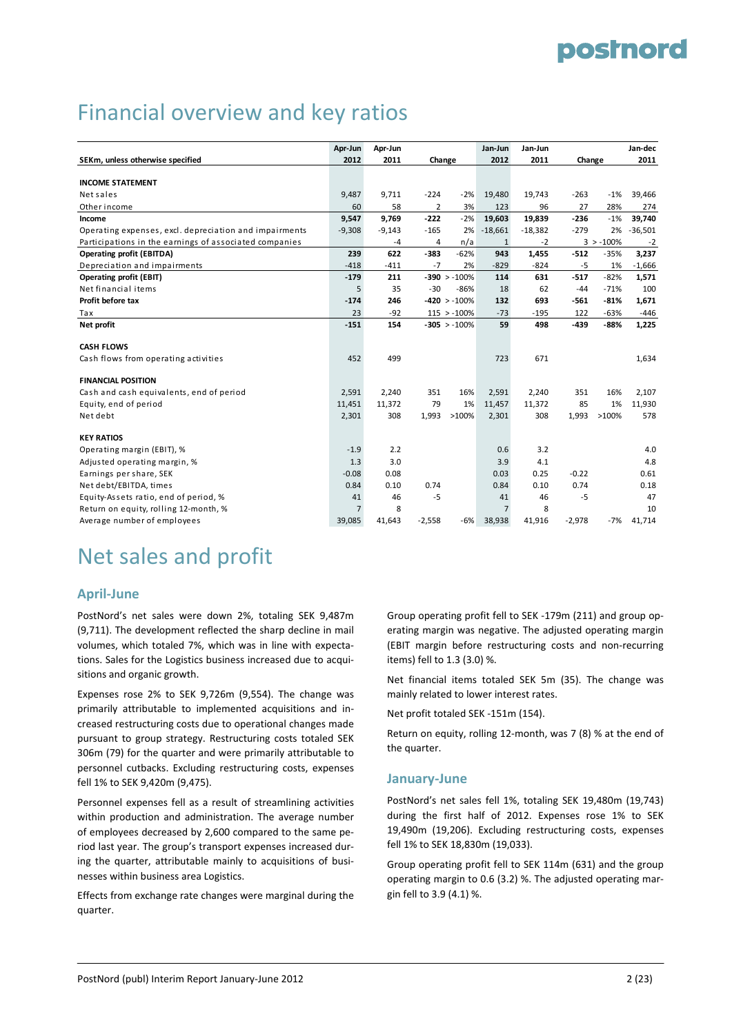# Financial overview and key ratios

|                                                        | Apr-Jun        | Apr-Jun  |          |                 | Jan-Jun        | Jan-Jun   |          |             | Jan-dec   |
|--------------------------------------------------------|----------------|----------|----------|-----------------|----------------|-----------|----------|-------------|-----------|
| SEKm, unless otherwise specified                       | 2012           | 2011     | Change   |                 | 2012           | 2011      | Change   |             | 2011      |
|                                                        |                |          |          |                 |                |           |          |             |           |
| <b>INCOME STATEMENT</b>                                |                |          |          |                 |                |           |          |             |           |
| Net sales                                              | 9,487          | 9,711    | $-224$   | $-2%$           | 19,480         | 19,743    | $-263$   | $-1%$       | 39,466    |
| Other income                                           | 60             | 58       | 2        | 3%              | 123            | 96        | 27       | 28%         | 274       |
| Income                                                 | 9,547          | 9,769    | $-222$   | $-2%$           | 19,603         | 19,839    | $-236$   | $-1%$       | 39,740    |
| Operating expenses, excl. depreciation and impairments | $-9,308$       | $-9,143$ | $-165$   | 2%              | $-18,661$      | $-18,382$ | $-279$   | 2%          | $-36,501$ |
| Participations in the earnings of associated companies |                | $-4$     | 4        | n/a             | $\mathbf{1}$   | $-2$      |          | $3 > -100%$ | $-2$      |
| <b>Operating profit (EBITDA)</b>                       | 239            | 622      | $-383$   | $-62%$          | 943            | 1,455     | $-512$   | $-35%$      | 3,237     |
| Depreciation and impairments                           | $-418$         | $-411$   | $-7$     | 2%              | $-829$         | $-824$    | $-5$     | 1%          | $-1,666$  |
| <b>Operating profit (EBIT)</b>                         | $-179$         | 211      |          | $-390 > -100%$  | 114            | 631       | $-517$   | $-82%$      | 1,571     |
| Net financial items                                    | 5              | 35       | $-30$    | $-86%$          | 18             | 62        | $-44$    | $-71%$      | 100       |
| Profit before tax                                      | $-174$         | 246      |          | $-420 > -100%$  | 132            | 693       | $-561$   | $-81%$      | 1,671     |
| Tax                                                    | 23             | $-92$    |          | $115 > -100\%$  | $-73$          | $-195$    | 122      | $-63%$      | $-446$    |
| Net profit                                             | $-151$         | 154      |          | $-305 > -100\%$ | 59             | 498       | $-439$   | -88%        | 1,225     |
| <b>CASH FLOWS</b>                                      |                |          |          |                 |                |           |          |             |           |
| Cash flows from operating activities                   | 452            | 499      |          |                 | 723            | 671       |          |             | 1,634     |
| <b>FINANCIAL POSITION</b>                              |                |          |          |                 |                |           |          |             |           |
| Cash and cash equivalents, end of period               | 2,591          | 2,240    | 351      | 16%             | 2,591          | 2,240     | 351      | 16%         | 2,107     |
| Equity, end of period                                  | 11,451         | 11,372   | 79       | 1%              | 11,457         | 11,372    | 85       | 1%          | 11,930    |
| Net debt                                               | 2,301          | 308      | 1,993    | >100%           | 2,301          | 308       | 1,993    | >100%       | 578       |
| <b>KEY RATIOS</b>                                      |                |          |          |                 |                |           |          |             |           |
| Operating margin (EBIT), %                             | $-1.9$         | 2.2      |          |                 | 0.6            | 3.2       |          |             | 4.0       |
| Adjusted operating margin, %                           | 1.3            | 3.0      |          |                 | 3.9            | 4.1       |          |             | 4.8       |
| Earnings per share, SEK                                | $-0.08$        | 0.08     |          |                 | 0.03           | 0.25      | $-0.22$  |             | 0.61      |
| Net debt/EBITDA, times                                 | 0.84           | 0.10     | 0.74     |                 | 0.84           | 0.10      | 0.74     |             | 0.18      |
| Equity-Assets ratio, end of period, %                  | 41             | 46       | $-5$     |                 | 41             | 46        | $-5$     |             | 47        |
| Return on equity, rolling 12-month, %                  | $\overline{7}$ | 8        |          |                 | $\overline{7}$ | 8         |          |             | 10        |
| Average number of employees                            | 39,085         | 41,643   | $-2,558$ | $-6%$           | 38,938         | 41,916    | $-2,978$ | $-7%$       | 41,714    |

### Net sales and profit

#### **April‐June**

PostNord's net sales were down 2%, totaling SEK 9,487m (9,711). The development reflected the sharp decline in mail volumes, which totaled 7%, which was in line with expecta‐ tions. Sales for the Logistics business increased due to acqui‐ sitions and organic growth.

Expenses rose 2% to SEK 9,726m (9,554). The change was primarily attributable to implemented acquisitions and in‐ creased restructuring costs due to operational changes made pursuant to group strategy. Restructuring costs totaled SEK 306m (79) for the quarter and were primarily attributable to personnel cutbacks. Excluding restructuring costs, expenses fell 1% to SEK 9,420m (9,475).

Personnel expenses fell as a result of streamlining activities within production and administration. The average number of employees decreased by 2,600 compared to the same pe‐ riod last year. The group's transport expenses increased dur‐ ing the quarter, attributable mainly to acquisitions of businesses within business area Logistics.

Effects from exchange rate changes were marginal during the quarter.

Group operating profit fell to SEK ‐179m (211) and group op‐ erating margin was negative. The adjusted operating margin (EBIT margin before restructuring costs and non‐recurring items) fell to 1.3 (3.0) %.

Net financial items totaled SEK 5m (35). The change was mainly related to lower interest rates.

Net profit totaled SEK ‐151m (154).

Return on equity, rolling 12‐month, was 7 (8) % at the end of the quarter.

#### **January‐June**

PostNord's net sales fell 1%, totaling SEK 19,480m (19,743) during the first half of 2012. Expenses rose 1% to SEK 19,490m (19,206). Excluding restructuring costs, expenses fell 1% to SEK 18,830m (19,033).

Group operating profit fell to SEK 114m (631) and the group operating margin to 0.6 (3.2) %. The adjusted operating mar‐ gin fell to 3.9 (4.1) %.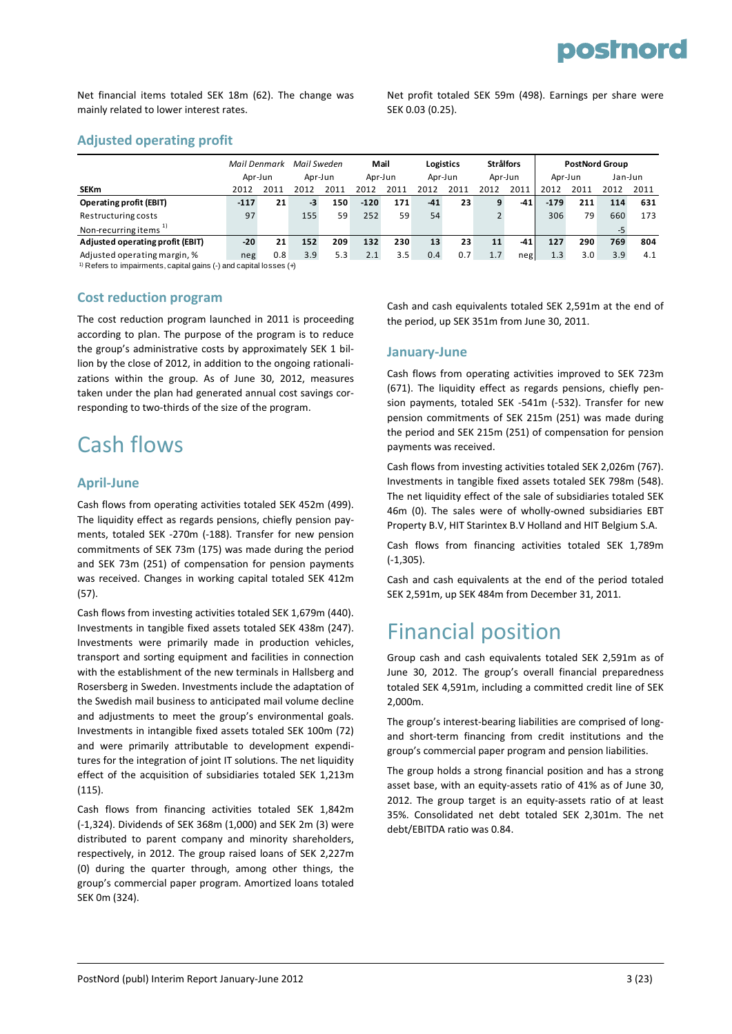Net financial items totaled SEK 18m (62). The change was mainly related to lower interest rates.

Net profit totaled SEK 59m (498). Earnings per share were SEK 0.03 (0.25).

#### **Adjusted operating profit**

|                                   | Mail Denmark |         | Mail Sweden |      | Mail    |      | Logistics |      | <b>Strålfors</b> |       |         | <b>PostNord Group</b> |         |      |
|-----------------------------------|--------------|---------|-------------|------|---------|------|-----------|------|------------------|-------|---------|-----------------------|---------|------|
|                                   |              | Apr-Jun | Apr-Jun     |      | Apr-Jun |      | Apr-Jun   |      | Apr-Jun          |       | Apr-Jun |                       | Jan-Jun |      |
| <b>SEKm</b>                       | 2012         | 2011    | 2012        | 2011 | 2012    | 2011 | 2012      | 2011 | 2012             | 2011  | 2012    | 2011                  | 2012    | 2011 |
| <b>Operating profit (EBIT)</b>    | $-117$       | 21      | -3          | 150  | $-120$  | 171  | $-41$     | 23   | 9                | $-41$ | $-179$  | 211                   | 114     | 631  |
| Restructuring costs               | 97           |         | 155         | 59   | 252     | 59   | 54        |      |                  |       | 306     | 79                    | 660     | 173  |
| Non-recurring items <sup>1)</sup> |              |         |             |      |         |      |           |      |                  |       |         |                       | -5      |      |
| Adjusted operating profit (EBIT)  | $-20$        | 21      | 152         | 209  | 132     | 230  | 13        | 23   | 11               | -41   | 127     | 290                   | 769     | 804  |
| Adjusted operating margin, %      | neg          | 0.8     | 3.9         | 5.3  | 2.1     | 3.5  | 0.4       | 0.7  | 1.7              | neg   | 1.3     | 3.0                   | 3.9     | 4.1  |

1) Refers to impairments, capital gains (-) and capital losses (+)

#### **Cost reduction program**

The cost reduction program launched in 2011 is proceeding according to plan. The purpose of the program is to reduce the group's administrative costs by approximately SEK 1 billion by the close of 2012, in addition to the ongoing rationali‐ zations within the group. As of June 30, 2012, measures taken under the plan had generated annual cost savings cor‐ responding to two‐thirds of the size of the program.

### Cash flows

#### **April‐June**

Cash flows from operating activities totaled SEK 452m (499). The liquidity effect as regards pensions, chiefly pension payments, totaled SEK ‐270m (‐188). Transfer for new pension commitments of SEK 73m (175) was made during the period and SEK 73m (251) of compensation for pension payments was received. Changes in working capital totaled SEK 412m (57).

Cash flows from investing activities totaled SEK 1,679m (440). Investments in tangible fixed assets totaled SEK 438m (247). Investments were primarily made in production vehicles, transport and sorting equipment and facilities in connection with the establishment of the new terminals in Hallsberg and Rosersberg in Sweden. Investments include the adaptation of the Swedish mail business to anticipated mail volume decline and adjustments to meet the group's environmental goals. Investments in intangible fixed assets totaled SEK 100m (72) and were primarily attributable to development expendi‐ tures for the integration of joint IT solutions. The net liquidity effect of the acquisition of subsidiaries totaled SEK 1,213m (115).

Cash flows from financing activities totaled SEK 1,842m (‐1,324). Dividends of SEK 368m (1,000) and SEK 2m (3) were distributed to parent company and minority shareholders, respectively, in 2012. The group raised loans of SEK 2,227m (0) during the quarter through, among other things, the group's commercial paper program. Amortized loans totaled SEK 0m (324).

Cash and cash equivalents totaled SEK 2,591m at the end of the period, up SEK 351m from June 30, 2011.

#### **January‐June**

Cash flows from operating activities improved to SEK 723m (671). The liquidity effect as regards pensions, chiefly pen‐ sion payments, totaled SEK -541m (-532). Transfer for new pension commitments of SEK 215m (251) was made during the period and SEK 215m (251) of compensation for pension payments was received.

Cash flows from investing activities totaled SEK 2,026m (767). Investments in tangible fixed assets totaled SEK 798m (548). The net liquidity effect of the sale of subsidiaries totaled SEK 46m (0). The sales were of wholly‐owned subsidiaries EBT Property B.V, HIT Starintex B.V Holland and HIT Belgium S.A.

Cash flows from financing activities totaled SEK 1,789m (‐1,305).

Cash and cash equivalents at the end of the period totaled SEK 2,591m, up SEK 484m from December 31, 2011.

### Financial position

Group cash and cash equivalents totaled SEK 2,591m as of June 30, 2012. The group's overall financial preparedness totaled SEK 4,591m, including a committed credit line of SEK 2,000m.

The group's interest‐bearing liabilities are comprised of long‐ and short‐term financing from credit institutions and the group's commercial paper program and pension liabilities.

The group holds a strong financial position and has a strong asset base, with an equity‐assets ratio of 41% as of June 30, 2012. The group target is an equity‐assets ratio of at least 35%. Consolidated net debt totaled SEK 2,301m. The net debt/EBITDA ratio was 0.84.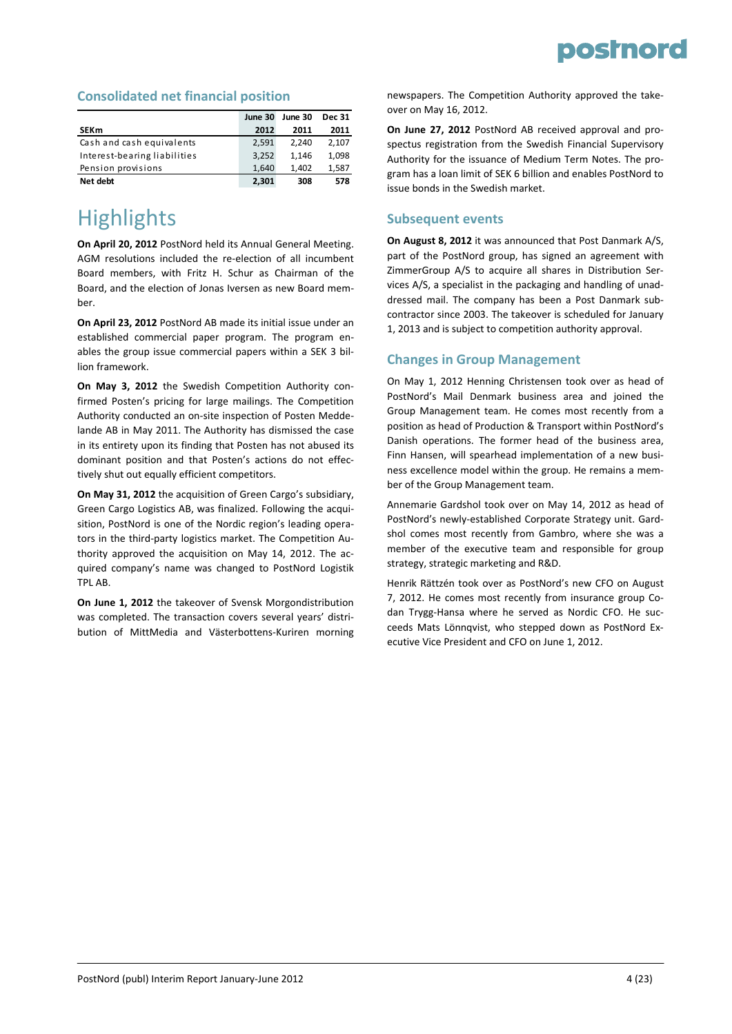#### **Consolidated net financial position**

|                              | June 30 | June 30 | <b>Dec 31</b> |
|------------------------------|---------|---------|---------------|
| <b>SEKm</b>                  | 2012    | 2011    | 2011          |
| Cash and cash equivalents    | 2,591   | 2.240   | 2,107         |
| Interest-bearing liabilities | 3,252   | 1.146   | 1.098         |
| Pension provisions           | 1,640   | 1.402   | 1,587         |
| Net debt                     | 2,301   | 308     | 578           |

### **Highlights**

**On April 20, 2012** PostNord held its Annual General Meeting. AGM resolutions included the re‐election of all incumbent Board members, with Fritz H. Schur as Chairman of the Board, and the election of Jonas Iversen as new Board mem‐ ber.

**On April 23, 2012** PostNord AB made its initial issue under an established commercial paper program. The program en‐ ables the group issue commercial papers within a SEK 3 bil‐ lion framework.

**On May 3, 2012** the Swedish Competition Authority con‐ firmed Posten's pricing for large mailings. The Competition Authority conducted an on‐site inspection of Posten Medde‐ lande AB in May 2011. The Authority has dismissed the case in its entirety upon its finding that Posten has not abused its dominant position and that Posten's actions do not effec‐ tively shut out equally efficient competitors.

**On May 31, 2012** the acquisition of Green Cargo's subsidiary, Green Cargo Logistics AB, was finalized. Following the acqui‐ sition, PostNord is one of the Nordic region's leading operators in the third‐party logistics market. The Competition Au‐ thority approved the acquisition on May 14, 2012. The ac‐ quired company's name was changed to PostNord Logistik TPL AB.

**On June 1, 2012** the takeover of Svensk Morgondistribution was completed. The transaction covers several years' distribution of MittMedia and Västerbottens‐Kuriren morning newspapers. The Competition Authority approved the take‐ over on May 16, 2012.

**On June 27, 2012** PostNord AB received approval and pro‐ spectus registration from the Swedish Financial Supervisory Authority for the issuance of Medium Term Notes. The pro‐ gram has a loan limit of SEK 6 billion and enables PostNord to issue bonds in the Swedish market.

#### **Subsequent events**

**On August 8, 2012** it was announced that Post Danmark A/S, part of the PostNord group, has signed an agreement with ZimmerGroup A/S to acquire all shares in Distribution Ser‐ vices A/S, a specialist in the packaging and handling of unad‐ dressed mail. The company has been a Post Danmark sub‐ contractor since 2003. The takeover is scheduled for January 1, 2013 and is subject to competition authority approval.

#### **Changes in Group Management**

On May 1, 2012 Henning Christensen took over as head of PostNord's Mail Denmark business area and joined the Group Management team. He comes most recently from a position as head of Production & Transport within PostNord's Danish operations. The former head of the business area, Finn Hansen, will spearhead implementation of a new business excellence model within the group. He remains a mem‐ ber of the Group Management team.

Annemarie Gardshol took over on May 14, 2012 as head of PostNord's newly‐established Corporate Strategy unit. Gard‐ shol comes most recently from Gambro, where she was a member of the executive team and responsible for group strategy, strategic marketing and R&D.

Henrik Rättzén took over as PostNord's new CFO on August 7, 2012. He comes most recently from insurance group Co‐ dan Trygg‐Hansa where he served as Nordic CFO. He suc‐ ceeds Mats Lönnqvist, who stepped down as PostNord Ex‐ ecutive Vice President and CFO on June 1, 2012.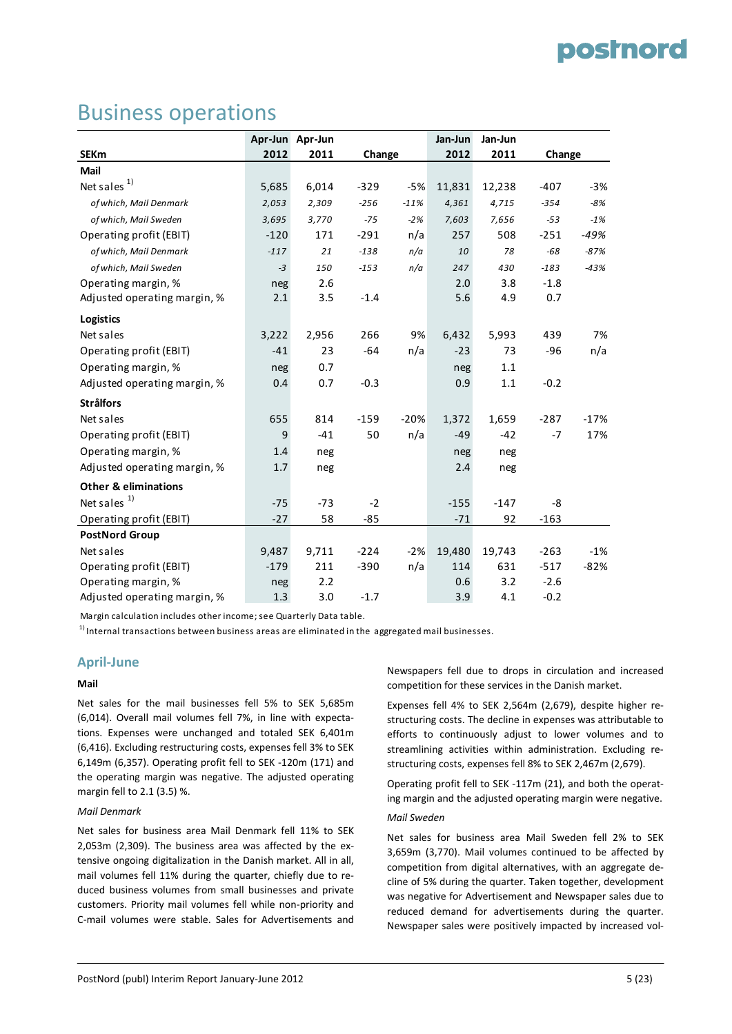### Business operations

|                                 |        | Apr-Jun Apr-Jun |        |        | Jan-Jun | Jan-Jun |        |        |
|---------------------------------|--------|-----------------|--------|--------|---------|---------|--------|--------|
| <b>SEKm</b>                     | 2012   | 2011            | Change |        | 2012    | 2011    | Change |        |
| Mail                            |        |                 |        |        |         |         |        |        |
| Net sales $1)$                  | 5,685  | 6,014           | $-329$ | $-5%$  | 11,831  | 12,238  | $-407$ | $-3%$  |
| of which, Mail Denmark          | 2,053  | 2,309           | $-256$ | $-11%$ | 4,361   | 4,715   | $-354$ | $-8%$  |
| of which, Mail Sweden           | 3,695  | 3,770           | $-75$  | $-2%$  | 7,603   | 7,656   | $-53$  | $-1%$  |
| Operating profit (EBIT)         | $-120$ | 171             | $-291$ | n/a    | 257     | 508     | $-251$ | -49%   |
| of which, Mail Denmark          | $-117$ | 21              | $-138$ | n/a    | 10      | 78      | $-68$  | $-87%$ |
| of which, Mail Sweden           | $-3$   | 150             | $-153$ | n/a    | 247     | 430     | $-183$ | $-43%$ |
| Operating margin, %             | neg    | 2.6             |        |        | 2.0     | 3.8     | $-1.8$ |        |
| Adjusted operating margin, %    | 2.1    | 3.5             | $-1.4$ |        | 5.6     | 4.9     | 0.7    |        |
| <b>Logistics</b>                |        |                 |        |        |         |         |        |        |
| Net sales                       | 3,222  | 2,956           | 266    | 9%     | 6,432   | 5,993   | 439    | 7%     |
| Operating profit (EBIT)         | $-41$  | 23              | $-64$  | n/a    | $-23$   | 73      | $-96$  | n/a    |
| Operating margin, %             | neg    | 0.7             |        |        | neg     | 1.1     |        |        |
| Adjusted operating margin, %    | 0.4    | 0.7             | $-0.3$ |        | 0.9     | 1.1     | $-0.2$ |        |
| <b>Strålfors</b>                |        |                 |        |        |         |         |        |        |
| Net sales                       | 655    | 814             | $-159$ | $-20%$ | 1,372   | 1,659   | $-287$ | $-17%$ |
| Operating profit (EBIT)         | 9      | $-41$           | 50     | n/a    | $-49$   | $-42$   | $-7$   | 17%    |
| Operating margin, %             | 1.4    | neg             |        |        | neg     | neg     |        |        |
| Adjusted operating margin, %    | 1.7    | neg             |        |        | 2.4     | neg     |        |        |
| <b>Other &amp; eliminations</b> |        |                 |        |        |         |         |        |        |
| Net sales $1$                   | $-75$  | $-73$           | $-2$   |        | $-155$  | $-147$  | -8     |        |
| Operating profit (EBIT)         | $-27$  | 58              | $-85$  |        | $-71$   | 92      | $-163$ |        |
| <b>PostNord Group</b>           |        |                 |        |        |         |         |        |        |
| Net sales                       | 9,487  | 9,711           | $-224$ | $-2%$  | 19,480  | 19,743  | $-263$ | $-1%$  |
| Operating profit (EBIT)         | $-179$ | 211             | $-390$ | n/a    | 114     | 631     | $-517$ | $-82%$ |
| Operating margin, %             | neg    | 2.2             |        |        | 0.6     | 3.2     | $-2.6$ |        |
| Adjusted operating margin, %    | 1.3    | 3.0             | $-1.7$ |        | 3.9     | 4.1     | $-0.2$ |        |

Margin calculation includes other income;see Quarterly Data table.

 $1)$  Internal transactions between business areas are eliminated in the aggregated mail businesses.

#### **April‐June**

#### **Mail**

Net sales for the mail businesses fell 5% to SEK 5,685m (6,014). Overall mail volumes fell 7%, in line with expecta‐ tions. Expenses were unchanged and totaled SEK 6,401m (6,416). Excluding restructuring costs, expenses fell 3% to SEK 6,149m (6,357). Operating profit fell to SEK ‐120m (171) and the operating margin was negative. The adjusted operating margin fell to 2.1 (3.5) %.

#### *Mail Denmark*

Net sales for business area Mail Denmark fell 11% to SEK 2,053m (2,309). The business area was affected by the ex‐ tensive ongoing digitalization in the Danish market. All in all, mail volumes fell 11% during the quarter, chiefly due to re‐ duced business volumes from small businesses and private customers. Priority mail volumes fell while non‐priority and C‐mail volumes were stable. Sales for Advertisements and

Newspapers fell due to drops in circulation and increased competition for these services in the Danish market.

Expenses fell 4% to SEK 2,564m (2,679), despite higher re‐ structuring costs. The decline in expenses was attributable to efforts to continuously adjust to lower volumes and to streamlining activities within administration. Excluding re‐ structuring costs, expenses fell 8% to SEK 2,467m (2,679).

Operating profit fell to SEK ‐117m (21), and both the operat‐ ing margin and the adjusted operating margin were negative. *Mail Sweden*

Net sales for business area Mail Sweden fell 2% to SEK 3,659m (3,770). Mail volumes continued to be affected by competition from digital alternatives, with an aggregate de‐ cline of 5% during the quarter. Taken together, development was negative for Advertisement and Newspaper sales due to reduced demand for advertisements during the quarter. Newspaper sales were positively impacted by increased vol‐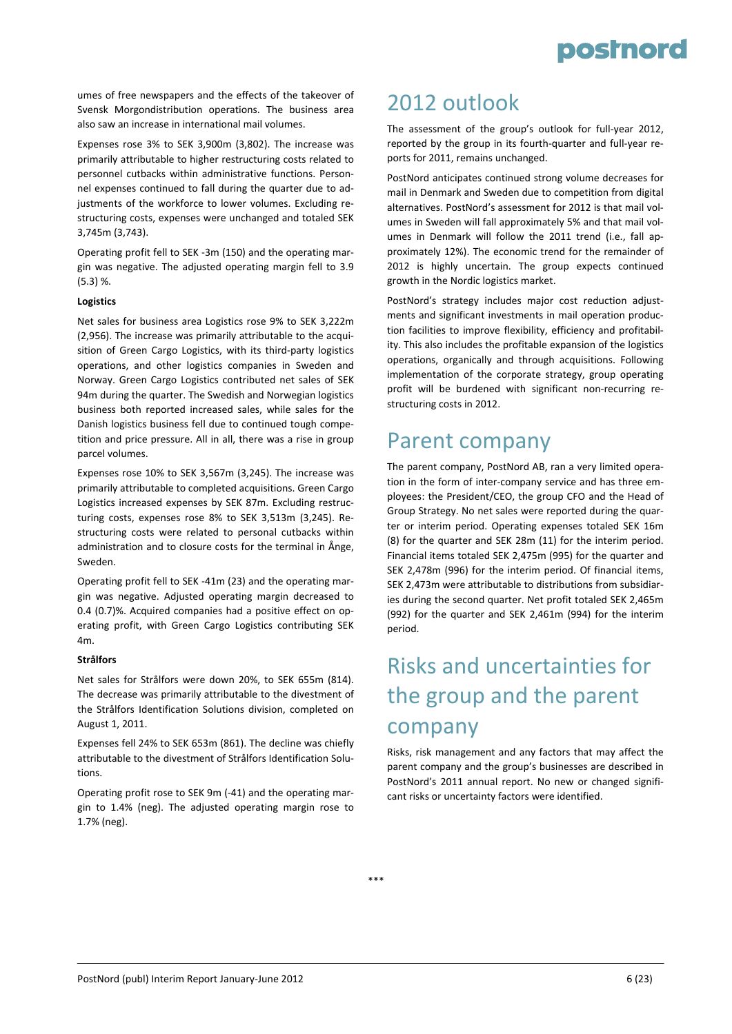

umes of free newspapers and the effects of the takeover of Svensk Morgondistribution operations. The business area also saw an increase in international mail volumes.

Expenses rose 3% to SEK 3,900m (3,802). The increase was primarily attributable to higher restructuring costs related to personnel cutbacks within administrative functions. Person‐ nel expenses continued to fall during the quarter due to ad‐ justments of the workforce to lower volumes. Excluding restructuring costs, expenses were unchanged and totaled SEK 3,745m (3,743).

Operating profit fell to SEK ‐3m (150) and the operating mar‐ gin was negative. The adjusted operating margin fell to 3.9 (5.3) %.

#### **Logistics**

Net sales for business area Logistics rose 9% to SEK 3,222m (2,956). The increase was primarily attributable to the acqui‐ sition of Green Cargo Logistics, with its third‐party logistics operations, and other logistics companies in Sweden and Norway. Green Cargo Logistics contributed net sales of SEK 94m during the quarter. The Swedish and Norwegian logistics business both reported increased sales, while sales for the Danish logistics business fell due to continued tough compe‐ tition and price pressure. All in all, there was a rise in group parcel volumes.

Expenses rose 10% to SEK 3,567m (3,245). The increase was primarily attributable to completed acquisitions. Green Cargo Logistics increased expenses by SEK 87m. Excluding restruc‐ turing costs, expenses rose 8% to SEK 3,513m (3,245). Re‐ structuring costs were related to personal cutbacks within administration and to closure costs for the terminal in Ånge, Sweden.

Operating profit fell to SEK ‐41m (23) and the operating mar‐ gin was negative. Adjusted operating margin decreased to 0.4 (0.7)%. Acquired companies had a positive effect on op‐ erating profit, with Green Cargo Logistics contributing SEK 4m.

#### **Strålfors**

Net sales for Strålfors were down 20%, to SEK 655m (814). The decrease was primarily attributable to the divestment of the Strålfors Identification Solutions division, completed on August 1, 2011.

Expenses fell 24% to SEK 653m (861). The decline was chiefly attributable to the divestment of Strålfors Identification Solu‐ tions.

Operating profit rose to SEK 9m (‐41) and the operating mar‐ gin to 1.4% (neg). The adjusted operating margin rose to 1.7% (neg).

### 2012 outlook

The assessment of the group's outlook for full‐year 2012, reported by the group in its fourth‐quarter and full‐year re‐ ports for 2011, remains unchanged.

PostNord anticipates continued strong volume decreases for mail in Denmark and Sweden due to competition from digital alternatives. PostNord's assessment for 2012 is that mail vol‐ umes in Sweden will fall approximately 5% and that mail vol‐ umes in Denmark will follow the 2011 trend (i.e., fall approximately 12%). The economic trend for the remainder of 2012 is highly uncertain. The group expects continued growth in the Nordic logistics market.

PostNord's strategy includes major cost reduction adjust‐ ments and significant investments in mail operation produc‐ tion facilities to improve flexibility, efficiency and profitabil‐ ity. This also includes the profitable expansion of the logistics operations, organically and through acquisitions. Following implementation of the corporate strategy, group operating profit will be burdened with significant non‐recurring re‐ structuring costs in 2012.

### Parent company

The parent company, PostNord AB, ran a very limited opera‐ tion in the form of inter‐company service and has three em‐ ployees: the President/CEO, the group CFO and the Head of Group Strategy. No net sales were reported during the quar‐ ter or interim period. Operating expenses totaled SEK 16m (8) for the quarter and SEK 28m (11) for the interim period. Financial items totaled SEK 2,475m (995) for the quarter and SEK 2,478m (996) for the interim period. Of financial items, SEK 2,473m were attributable to distributions from subsidiar‐ ies during the second quarter. Net profit totaled SEK 2,465m (992) for the quarter and SEK 2,461m (994) for the interim period.

### Risks and uncertainties for the group and the parent company

Risks, risk management and any factors that may affect the parent company and the group's businesses are described in PostNord's 2011 annual report. No new or changed signifi‐ cant risks or uncertainty factors were identified.

\*\*\*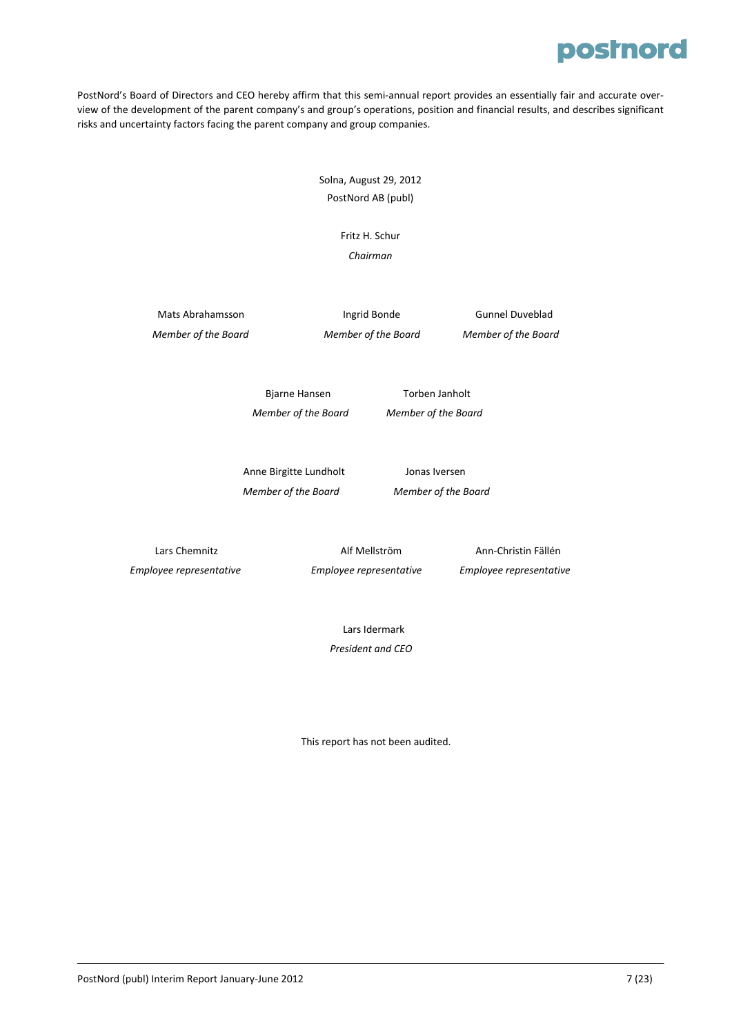PostNord's Board of Directors and CEO hereby affirm that this semi-annual report provides an essentially fair and accurate overview of the development of the parent company's and group's operations, position and financial results, and describes significant risks and uncertainty factors facing the parent company and group companies.

> Solna, August 29, 2012 PostNord AB (publ)

> > Fritz H. Schur *Chairman*

Mats Abrahamsson **Ingrid Bonde Ingrid Bonde Gunnel Duveblad** Member of the Board Member of the Board Member of the Board

 Bjarne Hansen Torben Janholt  *Member of the Board Member of the Board* 

Anne Birgitte Lundholt Jonas Iversen  *Member of the Board Member of the Board* 

 Lars Chemnitz Alf Mellström Ann‐Christin Fällén  *Employee representative Employee representative Employee representative*

Lars Idermark  *President and CEO*

This report has not been audited.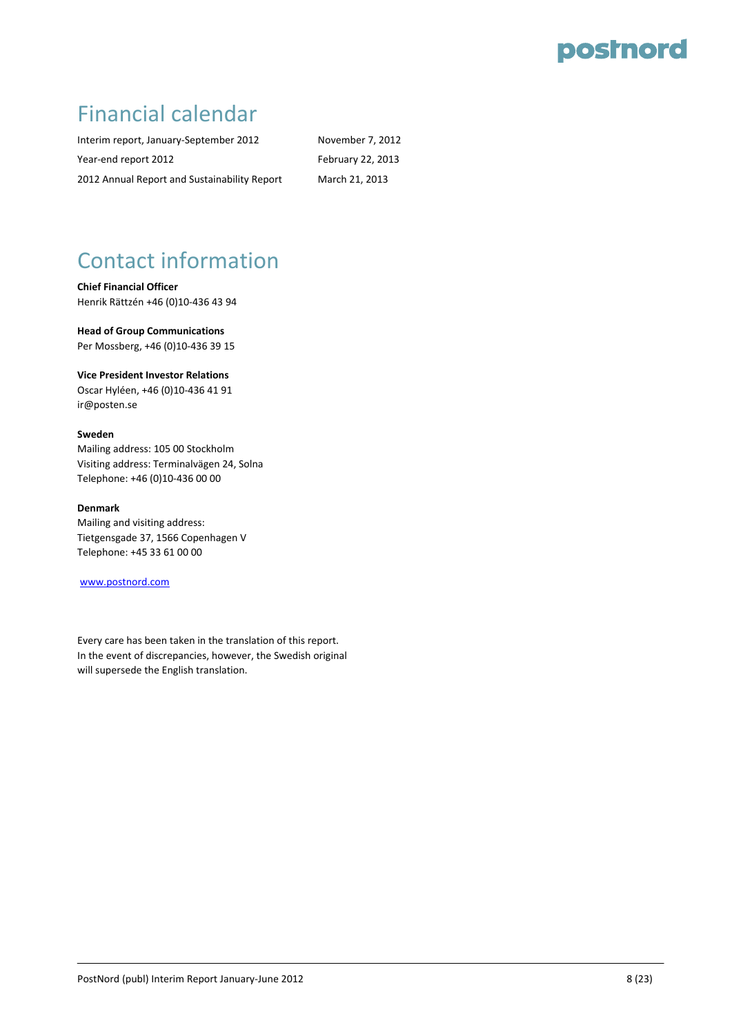### Financial calendar

Interim report, January-September 2012 November 7, 2012 Year-end report 2012 February 22, 2013 2012 Annual Report and Sustainability Report March 21, 2013

# Contact information

**Chief Financial Officer** Henrik Rättzén +46 (0)10‐436 43 94

**Head of Group Communications** Per Mossberg, +46 (0)10‐436 39 15

**Vice President Investor Relations**

Oscar Hyléen, +46 (0)10‐436 41 91 ir@posten.se

#### **Sweden**

Mailing address: 105 00 Stockholm Visiting address: Terminalvägen 24, Solna Telephone: +46 (0)10‐436 00 00

#### **Denmark**

Mailing and visiting address: Tietgensgade 37, 1566 Copenhagen V Telephone: +45 33 61 00 00

#### www.postnord.com

Every care has been taken in the translation of this report. In the event of discrepancies, however, the Swedish original will supersede the English translation.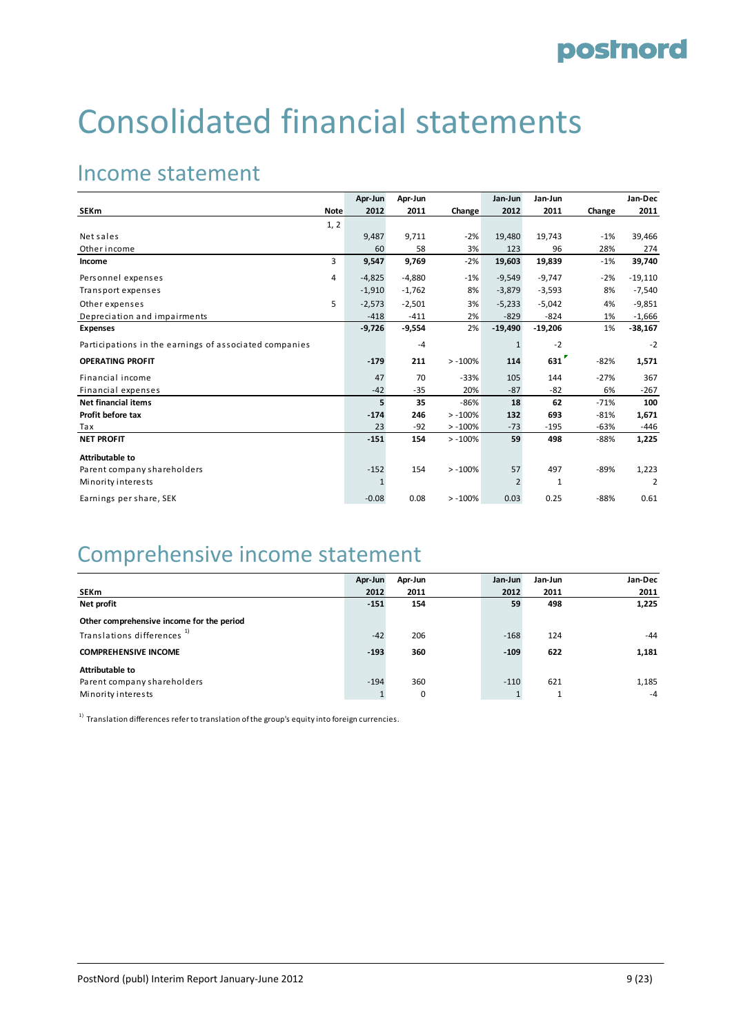# Consolidated financial statements

### Income statement

|                                                        |             | Apr-Jun      | Apr-Jun  |           | Jan-Jun        | Jan-Jun      |        | Jan-Dec        |
|--------------------------------------------------------|-------------|--------------|----------|-----------|----------------|--------------|--------|----------------|
| <b>SEKm</b>                                            | <b>Note</b> | 2012         | 2011     | Change    | 2012           | 2011         | Change | 2011           |
|                                                        | 1, 2        |              |          |           |                |              |        |                |
| Net sales                                              |             | 9,487        | 9,711    | $-2%$     | 19,480         | 19,743       | $-1%$  | 39,466         |
| Other income                                           |             | 60           | 58       | 3%        | 123            | 96           | 28%    | 274            |
| Income                                                 | 3           | 9,547        | 9,769    | $-2%$     | 19,603         | 19,839       | $-1%$  | 39,740         |
| Personnel expenses                                     | 4           | $-4,825$     | $-4,880$ | $-1%$     | $-9,549$       | $-9,747$     | $-2%$  | $-19,110$      |
| Transport expenses                                     |             | $-1,910$     | $-1,762$ | 8%        | $-3,879$       | $-3,593$     | 8%     | $-7,540$       |
| Other expenses                                         | 5           | $-2,573$     | $-2,501$ | 3%        | $-5,233$       | $-5,042$     | 4%     | $-9,851$       |
| Depreciation and impairments                           |             | $-418$       | $-411$   | 2%        | $-829$         | $-824$       | 1%     | $-1,666$       |
| Expenses                                               |             | $-9,726$     | $-9,554$ | 2%        | $-19,490$      | $-19,206$    | 1%     | $-38,167$      |
| Participations in the earnings of associated companies |             |              | $-4$     |           | $\mathbf{1}$   | $-2$         |        | $-2$           |
| <b>OPERATING PROFIT</b>                                |             | $-179$       | 211      | $> -100%$ | 114            | 631          | $-82%$ | 1,571          |
| Financial income                                       |             | 47           | 70       | $-33%$    | 105            | 144          | $-27%$ | 367            |
| Financial expenses                                     |             | $-42$        | $-35$    | 20%       | $-87$          | -82          | 6%     | $-267$         |
| <b>Net financial items</b>                             |             | 5            | 35       | $-86%$    | 18             | 62           | $-71%$ | 100            |
| Profit before tax                                      |             | $-174$       | 246      | $> -100%$ | 132            | 693          | $-81%$ | 1,671          |
| Tax                                                    |             | 23           | $-92$    | $> -100%$ | $-73$          | $-195$       | $-63%$ | $-446$         |
| <b>NET PROFIT</b>                                      |             | $-151$       | 154      | $> -100%$ | 59             | 498          | $-88%$ | 1,225          |
| <b>Attributable to</b>                                 |             |              |          |           |                |              |        |                |
| Parent company shareholders                            |             | $-152$       | 154      | $> -100%$ | 57             | 497          | $-89%$ | 1,223          |
| Minority interests                                     |             | $\mathbf{1}$ |          |           | $\overline{2}$ | $\mathbf{1}$ |        | $\overline{2}$ |
| Earnings per share, SEK                                |             | $-0.08$      | 0.08     | $> -100%$ | 0.03           | 0.25         | $-88%$ | 0.61           |

### Comprehensive income statement

|                                           | Apr-Jun | Apr-Jun | Jan-Jun | Jan-Jun | Jan-Dec |
|-------------------------------------------|---------|---------|---------|---------|---------|
| SEKm                                      | 2012    | 2011    | 2012    | 2011    | 2011    |
| Net profit                                | $-151$  | 154     | 59      | 498     | 1,225   |
| Other comprehensive income for the period |         |         |         |         |         |
| Translations differences <sup>1)</sup>    | $-42$   | 206     | $-168$  | 124     | $-44$   |
| <b>COMPREHENSIVE INCOME</b>               | $-193$  | 360     | $-109$  | 622     | 1,181   |
| Attributable to                           |         |         |         |         |         |
| Parent company shareholders               | $-194$  | 360     | $-110$  | 621     | 1,185   |
| Minority interests                        |         | 0       |         |         | $-4$    |

 $^{\rm 1)}$  Translation differences refer to translation of the group's equity into foreign currencies.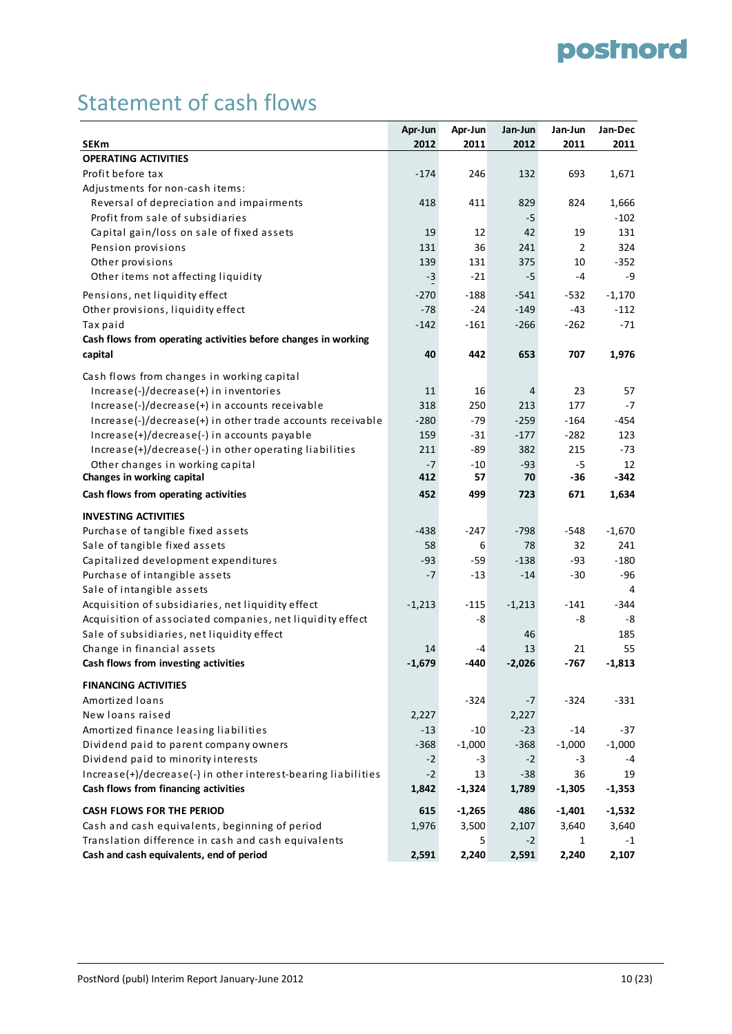### Statement of cash flows

|                                                                | Apr-Jun  | Apr-Jun  | Jan-Jun  | Jan-Jun        | Jan-Dec      |
|----------------------------------------------------------------|----------|----------|----------|----------------|--------------|
| <b>SEKm</b>                                                    | 2012     | 2011     | 2012     | 2011           | 2011         |
| <b>OPERATING ACTIVITIES</b>                                    |          |          |          |                |              |
| Profit before tax                                              | $-174$   | 246      | 132      | 693            | 1,671        |
| Adjustments for non-cash items:                                |          |          |          |                |              |
| Reversal of depreciation and impairments                       | 418      | 411      | 829      | 824            | 1,666        |
| Profit from sale of subsidiaries                               |          |          | -5       |                | $-102$       |
| Capital gain/loss on sale of fixed assets                      | 19       | 12       | 42       | 19             | 131          |
| Pension provisions                                             | 131      | 36       | 241      | $\overline{2}$ | 324          |
| Other provisions                                               | 139      | 131      | 375      | 10             | $-352$       |
| Other items not affecting liquidity                            | $-3$     | $-21$    | -5       | -4             | -9           |
| Pensions, net liquidity effect                                 | $-270$   | $-188$   | $-541$   | -532           | $-1,170$     |
| Other provisions, liquidity effect                             | $-78$    | $-24$    | $-149$   | $-43$          | $-112$       |
| Tax paid                                                       | $-142$   | $-161$   | $-266$   | $-262$         | $-71$        |
| Cash flows from operating activities before changes in working |          |          |          |                |              |
| capital                                                        | 40       | 442      | 653      | 707            | 1,976        |
|                                                                |          |          |          |                |              |
| Cash flows from changes in working capital                     |          |          |          |                |              |
| Increase(-)/decrease(+) in inventories                         | 11       | 16       | 4        | 23             | 57           |
| Increase(-)/decrease(+) in accounts receivable                 | 318      | 250      | 213      | 177            | $-7$         |
| Increase(-)/decrease(+) in other trade accounts receivable     | $-280$   | $-79$    | $-259$   | $-164$         | -454         |
| Increase(+)/decrease(-) in accounts payable                    | 159      | $-31$    | $-177$   | $-282$         | 123          |
| Increase(+)/decrease(-) in other operating liabilities         | 211      | $-89$    | 382      | 215            | $-73$        |
| Other changes in working capital                               | $-7$     | $-10$    | $-93$    | $-5$           | 12<br>$-342$ |
| Changes in working capital                                     | 412      | 57       | 70       | $-36$          |              |
| Cash flows from operating activities                           | 452      | 499      | 723      | 671            | 1,634        |
| <b>INVESTING ACTIVITIES</b>                                    |          |          |          |                |              |
| Purchase of tangible fixed assets                              | $-438$   | $-247$   | $-798$   | -548           | $-1,670$     |
| Sale of tangible fixed assets                                  | 58       | 6        | 78       | 32             | 241          |
| Capitalized development expenditures                           | -93      | $-59$    | $-138$   | -93            | $-180$       |
| Purchase of intangible assets                                  | $-7$     | $-13$    | $-14$    | -30            | $-96$        |
| Sale of intangible assets                                      |          |          |          |                | 4            |
| Acquisition of subsidiaries, net liquidity effect              | $-1,213$ | $-115$   | $-1,213$ | -141           | $-344$       |
| Acquisition of associated companies, net liquidity effect      |          | -8       |          | -8             | -8           |
| Sale of subsidiaries, net liquidity effect                     |          |          | 46       |                | 185          |
| Change in financial assets                                     | 14       | -4       | 13       | 21             | 55           |
| Cash flows from investing activities                           | $-1,679$ | -440     | $-2,026$ | $-767$         | $-1,813$     |
| <b>FINANCING ACTIVITIES</b>                                    |          |          |          |                |              |
| Amortized loans                                                |          | $-324$   | -7       | $-324$         | $-331$       |
| New loans raised                                               | 2,227    |          | 2,227    |                |              |
| Amortized finance leasing liabilities                          | $-13$    | $-10$    | $-23$    | $-14$          | $-37$        |
| Dividend paid to parent company owners                         | $-368$   | $-1,000$ | $-368$   | $-1,000$       | $-1,000$     |
| Dividend paid to minority interests                            | $-2$     | $-3$     | $-2$     | -3             | -4           |
| Increase(+)/decrease(-) in other interest-bearing liabilities  | $-2$     | 13       | $-38$    | 36             | 19           |
| Cash flows from financing activities                           | 1,842    | $-1,324$ | 1,789    | $-1,305$       | $-1,353$     |
|                                                                |          |          |          |                |              |
| <b>CASH FLOWS FOR THE PERIOD</b>                               | 615      | $-1,265$ | 486      | $-1,401$       | $-1,532$     |
| Cash and cash equivalents, beginning of period                 | 1,976    | 3,500    | 2,107    | 3,640          | 3,640        |
| Translation difference in cash and cash equivalents            |          | 5        | $-2$     | 1              | $-1$         |
| Cash and cash equivalents, end of period                       | 2,591    | 2,240    | 2,591    | 2,240          | 2,107        |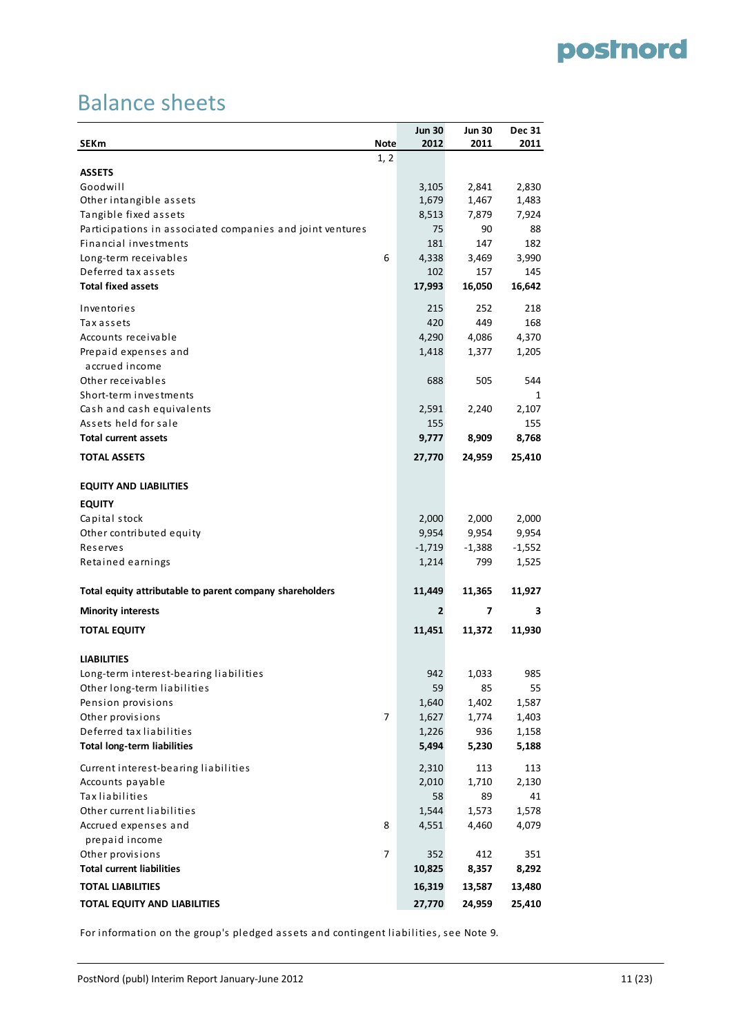### Balance sheets

| <b>SEKm</b>                                               | <b>Note</b> | <b>Jun 30</b><br>2012 | <b>Jun 30</b><br>2011 | <b>Dec 31</b><br>2011 |
|-----------------------------------------------------------|-------------|-----------------------|-----------------------|-----------------------|
|                                                           | 1, 2        |                       |                       |                       |
| <b>ASSETS</b>                                             |             |                       |                       |                       |
| Goodwill                                                  |             | 3,105                 | 2,841                 | 2,830                 |
| Other intangible assets                                   |             | 1,679                 | 1,467                 | 1,483                 |
| Tangible fixed assets                                     |             | 8,513                 | 7,879                 | 7,924                 |
| Participations in associated companies and joint ventures |             | 75                    | 90                    | 88                    |
| Financial investments                                     |             | 181                   | 147                   | 182                   |
| Long-term receivables                                     | 6           | 4,338                 | 3,469                 | 3,990                 |
| Deferred tax assets                                       |             | 102                   | 157                   | 145                   |
| <b>Total fixed assets</b>                                 |             | 17,993                | 16,050                | 16,642                |
| Inventories                                               |             | 215                   | 252                   | 218                   |
| Tax assets                                                |             | 420                   | 449                   | 168                   |
| Accounts receivable                                       |             | 4,290                 | 4,086                 | 4,370                 |
| Prepaid expenses and                                      |             | 1,418                 | 1,377                 | 1,205                 |
| accrued income                                            |             |                       |                       |                       |
| Other receivables                                         |             | 688                   | 505                   | 544                   |
| Short-term investments                                    |             |                       |                       | 1                     |
| Cash and cash equivalents                                 |             | 2,591                 | 2,240                 | 2,107                 |
| Assets held for sale                                      |             | 155                   |                       | 155                   |
| <b>Total current assets</b>                               |             | 9,777                 | 8,909                 | 8,768                 |
| <b>TOTAL ASSETS</b>                                       |             | 27,770                | 24,959                | 25,410                |
| <b>EQUITY AND LIABILITIES</b>                             |             |                       |                       |                       |
| <b>EQUITY</b>                                             |             |                       |                       |                       |
| Capital stock                                             |             | 2,000                 | 2,000                 | 2,000                 |
| Other contributed equity                                  |             | 9,954                 | 9,954                 | 9,954                 |
| Reserves                                                  |             | $-1,719$              | $-1,388$              | $-1,552$              |
| Retained earnings                                         |             | 1,214                 | 799                   | 1,525                 |
| Total equity attributable to parent company shareholders  |             | 11,449                | 11,365                | 11,927                |
| <b>Minority interests</b>                                 |             | 2                     | 7                     | з                     |
| <b>TOTAL EQUITY</b>                                       |             | 11,451                | 11,372                | 11,930                |
|                                                           |             |                       |                       |                       |
| <b>LIABILITIES</b>                                        |             |                       |                       |                       |
| Long-term interest-bearing liabilities                    |             | 942                   | 1,033                 | 985                   |
| Other long-term liabilities<br>Pension provisions         |             | 59<br>1,640           | 85                    | 55                    |
| Other provisions                                          | 7           | 1,627                 | 1,402                 | 1,587                 |
| Deferred tax liabilities                                  |             | 1,226                 | 1,774<br>936          | 1,403                 |
| <b>Total long-term liabilities</b>                        |             | 5,494                 | 5,230                 | 1,158<br>5,188        |
|                                                           |             |                       |                       |                       |
| Current interest-bearing liabilities                      |             | 2,310                 | 113                   | 113                   |
| Accounts payable                                          |             | 2,010                 | 1,710                 | 2,130                 |
| <b>Tax liabilities</b>                                    |             | 58                    | 89                    | 41                    |
| Other current liabilities                                 |             | 1,544                 | 1,573                 | 1,578                 |
| Accrued expenses and                                      | 8           | 4,551                 | 4,460                 | 4,079                 |
| prepaid income<br>Other provisions                        | 7           | 352                   | 412                   | 351                   |
| <b>Total current liabilities</b>                          |             |                       |                       |                       |
|                                                           |             | 10,825                | 8,357                 | 8,292                 |
| <b>TOTAL LIABILITIES</b>                                  |             | 16,319                | 13,587                | 13,480                |
| TOTAL EQUITY AND LIABILITIES                              |             | 27,770                | 24,959                | 25,410                |

For information on the group's pledged assets and contingent liabilities, see Note 9.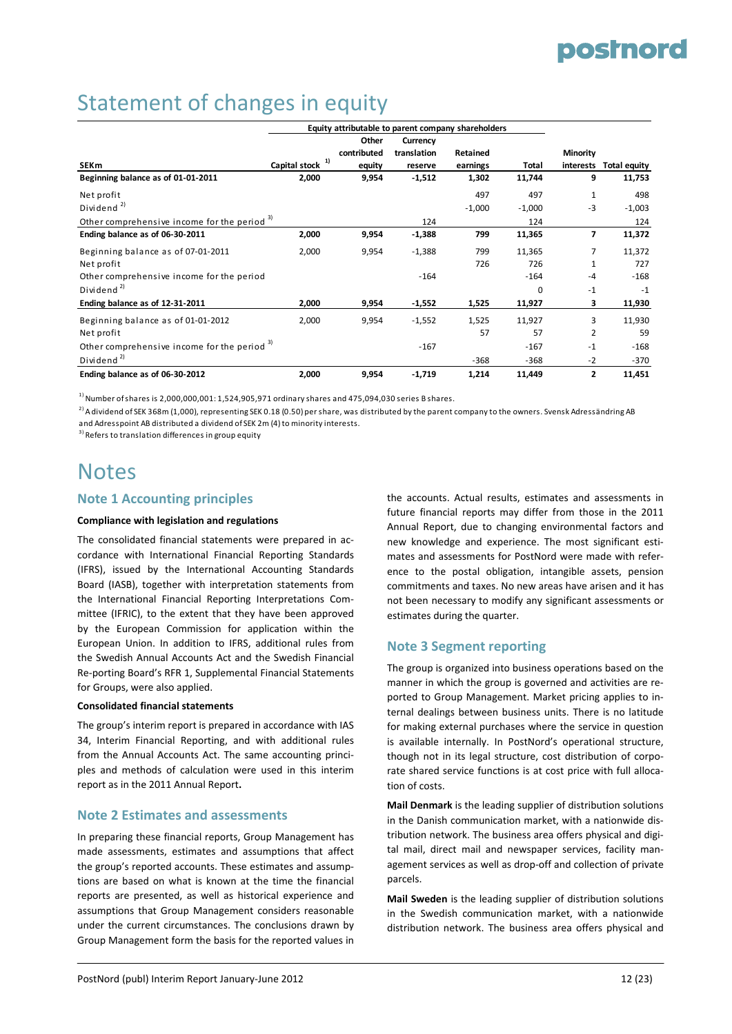### Statement of changes in equity

|                                                         |                     | Equity attributable to parent company shareholders |             |          |          |                 |                     |
|---------------------------------------------------------|---------------------|----------------------------------------------------|-------------|----------|----------|-----------------|---------------------|
|                                                         |                     | Other                                              | Currency    |          |          |                 |                     |
|                                                         |                     | contributed                                        | translation | Retained |          | <b>Minority</b> |                     |
| <b>SEKm</b>                                             | 1)<br>Capital stock | equity                                             | reserve     | earnings | Total    | interests       | <b>Total equity</b> |
| Beginning balance as of 01-01-2011                      | 2,000               | 9,954                                              | $-1,512$    | 1,302    | 11,744   | 9               | 11,753              |
| Net profit                                              |                     |                                                    |             | 497      | 497      | 1               | 498                 |
| Dividend <sup>2)</sup>                                  |                     |                                                    |             | $-1,000$ | $-1,000$ | $-3$            | $-1,003$            |
| Other comprehensive income for the period <sup>3)</sup> |                     |                                                    | 124         |          | 124      |                 | 124                 |
| Ending balance as of 06-30-2011                         | 2,000               | 9,954                                              | $-1,388$    | 799      | 11,365   | 7               | 11,372              |
| Beginning balance as of 07-01-2011                      | 2,000               | 9,954                                              | $-1,388$    | 799      | 11,365   | 7               | 11,372              |
| Net profit                                              |                     |                                                    |             | 726      | 726      |                 | 727                 |
| Other comprehensive income for the period               |                     |                                                    | $-164$      |          | $-164$   | $-4$            | $-168$              |
| Dividend <sup>2)</sup>                                  |                     |                                                    |             |          | $\Omega$ | $-1$            | $-1$                |
| Ending balance as of 12-31-2011                         | 2,000               | 9,954                                              | $-1,552$    | 1,525    | 11,927   | з               | 11,930              |
| Beginning balance as of 01-01-2012                      | 2,000               | 9,954                                              | $-1,552$    | 1,525    | 11,927   | 3               | 11,930              |
| Net profit                                              |                     |                                                    |             | 57       | 57       | 2               | 59                  |
| Other comprehensive income for the period 3)            |                     |                                                    | $-167$      |          | $-167$   | $-1$            | $-168$              |
| Dividend <sup>2)</sup>                                  |                     |                                                    |             | $-368$   | $-368$   | $-2$            | $-370$              |
| Ending balance as of 06-30-2012                         | 2,000               | 9,954                                              | $-1,719$    | 1,214    | 11,449   | 2               | 11,451              |

 $^{1)}$  Number of shares is 2,000,000,001: 1,524,905,971 ordinary shares and 475,094,030 series B shares.

 $^{2)}$  A dividend of SEK 368m (1.000), representing SEK 0.18 (0.50) per share, was distributed by the parent company to the owners. Svensk Adressändring AB and Adresspoint AB distributed a dividend of SEK 2m (4) to minority interests.

<sup>3)</sup> Refers to translation differences in group equity

### **Notes**

#### **Note 1 Accounting principles**

#### **Compliance with legislation and regulations**

The consolidated financial statements were prepared in ac‐ cordance with International Financial Reporting Standards (IFRS), issued by the International Accounting Standards Board (IASB), together with interpretation statements from the International Financial Reporting Interpretations Com‐ mittee (IFRIC), to the extent that they have been approved by the European Commission for application within the European Union. In addition to IFRS, additional rules from the Swedish Annual Accounts Act and the Swedish Financial Re‐porting Board's RFR 1, Supplemental Financial Statements for Groups, were also applied.

#### **Consolidated financial statements**

The group's interim report is prepared in accordance with IAS 34, Interim Financial Reporting, and with additional rules from the Annual Accounts Act. The same accounting principles and methods of calculation were used in this interim report as in the 2011 Annual Report**.**

#### **Note 2 Estimates and assessments**

In preparing these financial reports, Group Management has made assessments, estimates and assumptions that affect the group's reported accounts. These estimates and assump‐ tions are based on what is known at the time the financial reports are presented, as well as historical experience and assumptions that Group Management considers reasonable under the current circumstances. The conclusions drawn by Group Management form the basis for the reported values in

the accounts. Actual results, estimates and assessments in future financial reports may differ from those in the 2011 Annual Report, due to changing environmental factors and new knowledge and experience. The most significant esti‐ mates and assessments for PostNord were made with refer‐ ence to the postal obligation, intangible assets, pension commitments and taxes. No new areas have arisen and it has not been necessary to modify any significant assessments or estimates during the quarter.

#### **Note 3 Segment reporting**

The group is organized into business operations based on the manner in which the group is governed and activities are re‐ ported to Group Management. Market pricing applies to in‐ ternal dealings between business units. There is no latitude for making external purchases where the service in question is available internally. In PostNord's operational structure, though not in its legal structure, cost distribution of corpo‐ rate shared service functions is at cost price with full allocation of costs.

**Mail Denmark** is the leading supplier of distribution solutions in the Danish communication market, with a nationwide dis‐ tribution network. The business area offers physical and digi‐ tal mail, direct mail and newspaper services, facility management services as well as drop‐off and collection of private parcels.

**Mail Sweden** is the leading supplier of distribution solutions in the Swedish communication market, with a nationwide distribution network. The business area offers physical and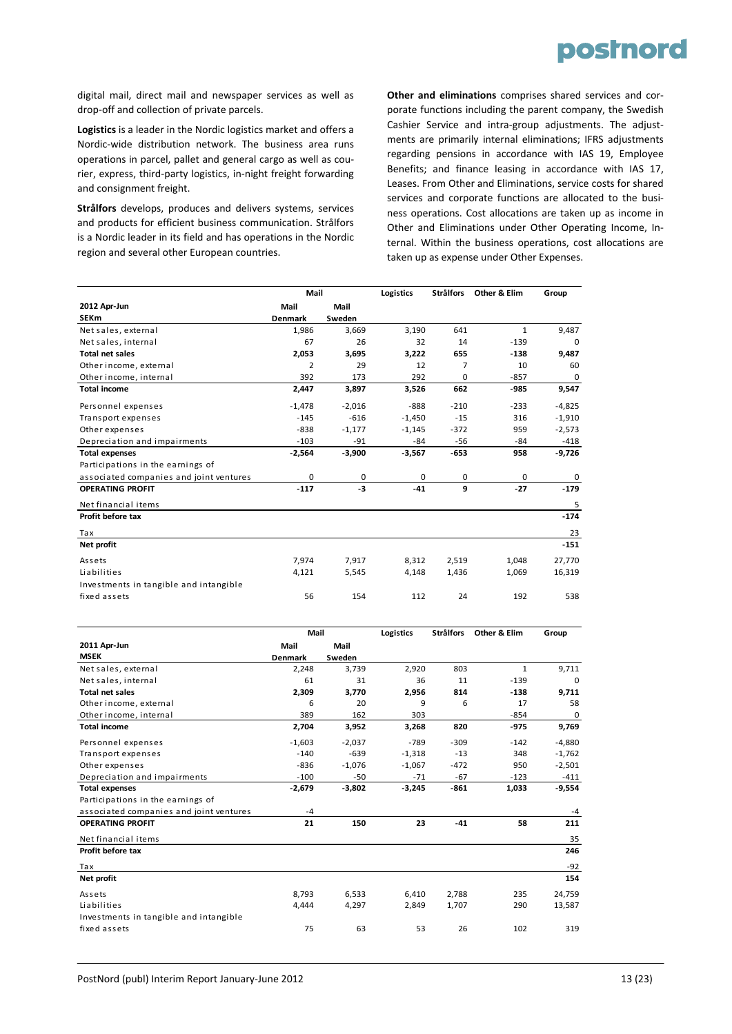

digital mail, direct mail and newspaper services as well as drop‐off and collection of private parcels.

**Logistics** is a leader in the Nordic logistics market and offers a Nordic‐wide distribution network. The business area runs operations in parcel, pallet and general cargo as well as cou‐ rier, express, third‐party logistics, in‐night freight forwarding and consignment freight.

**Strålfors** develops, produces and delivers systems, services and products for efficient business communication. Strålfors is a Nordic leader in its field and has operations in the Nordic region and several other European countries.

**Other and eliminations** comprises shared services and cor‐ porate functions including the parent company, the Swedish Cashier Service and intra‐group adjustments. The adjust‐ ments are primarily internal eliminations; IFRS adjustments regarding pensions in accordance with IAS 19, Employee Benefits; and finance leasing in accordance with IAS 17, Leases. From Other and Eliminations, service costs for shared services and corporate functions are allocated to the business operations. Cost allocations are taken up as income in Other and Eliminations under Other Operating Income, In‐ ternal. Within the business operations, cost allocations are taken up as expense under Other Expenses.

|                                         |                | Mail        |          | <b>Strålfors</b> | Other & Elim | Group    |
|-----------------------------------------|----------------|-------------|----------|------------------|--------------|----------|
| 2012 Apr-Jun                            | Mail           | Mail        |          |                  |              |          |
| <b>SEKm</b>                             | <b>Denmark</b> | Sweden      |          |                  |              |          |
| Net sales, external                     | 1,986          | 3,669       | 3,190    | 641              | $\mathbf{1}$ | 9,487    |
| Net sales, internal                     | 67             | 26          | 32       | 14               | $-139$       | $\Omega$ |
| <b>Total net sales</b>                  | 2,053          | 3,695       | 3,222    | 655              | $-138$       | 9,487    |
| Other income, external                  | $\overline{2}$ | 29          | 12       | 7                | 10           | 60       |
| Other income, internal                  | 392            | 173         | 292      | 0                | $-857$       | 0        |
| <b>Total income</b>                     | 2,447          | 3,897       | 3,526    | 662              | -985         | 9,547    |
| Personnel expenses                      | $-1,478$       | $-2,016$    | $-888$   | $-210$           | $-233$       | $-4,825$ |
| Transport expenses                      | $-145$         | $-616$      | $-1,450$ | $-15$            | 316          | $-1,910$ |
| Other expenses                          | $-838$         | $-1,177$    | $-1,145$ | $-372$           | 959          | $-2,573$ |
| Depreciation and impairments            | $-103$         | $-91$       | -84      | -56              | -84          | -418     |
| <b>Total expenses</b>                   | $-2,564$       | $-3,900$    | $-3,567$ | $-653$           | 958          | $-9,726$ |
| Participations in the earnings of       |                |             |          |                  |              |          |
| associated companies and joint ventures | $\mathbf 0$    | $\mathbf 0$ | 0        | $\mathbf 0$      | $\mathbf 0$  | 0        |
| <b>OPERATING PROFIT</b>                 | $-117$         | $-3$        | $-41$    | 9                | $-27$        | $-179$   |
| Net financial items                     |                |             |          |                  |              | 5        |
| Profit before tax                       |                |             |          |                  |              | $-174$   |
| Tax                                     |                |             |          |                  |              | 23       |
| Net profit                              |                |             |          |                  |              | $-151$   |
| Assets                                  | 7,974          | 7,917       | 8,312    | 2,519            | 1,048        | 27,770   |
| Liabilities                             | 4,121          | 5,545       | 4,148    | 1,436            | 1,069        | 16,319   |
| Investments in tangible and intangible  |                |             |          |                  |              |          |
| fixed assets                            | 56             | 154         | 112      | 24               | 192          | 538      |

|                                         | Mail           |          | Logistics | <b>Strålfors</b> | Other & Elim | Group    |
|-----------------------------------------|----------------|----------|-----------|------------------|--------------|----------|
| 2011 Apr-Jun                            | Mail           | Mail     |           |                  |              |          |
| <b>MSEK</b>                             | <b>Denmark</b> | Sweden   |           |                  |              |          |
| Net sales, external                     | 2,248          | 3,739    | 2,920     | 803              | $\mathbf{1}$ | 9,711    |
| Net sales, internal                     | 61             | 31       | 36        | 11               | $-139$       | 0        |
| <b>Total net sales</b>                  | 2,309          | 3,770    | 2,956     | 814              | $-138$       | 9,711    |
| Other income, external                  | 6              | 20       | 9         | 6                | 17           | 58       |
| Other income, internal                  | 389            | 162      | 303       |                  | $-854$       | 0        |
| <b>Total income</b>                     | 2,704          | 3,952    | 3,268     | 820              | $-975$       | 9,769    |
| Personnel expenses                      | $-1,603$       | $-2,037$ | $-789$    | $-309$           | $-142$       | $-4,880$ |
| Transport expenses                      | $-140$         | $-639$   | $-1,318$  | $-13$            | 348          | $-1,762$ |
| Other expenses                          | $-836$         | $-1,076$ | $-1,067$  | $-472$           | 950          | $-2,501$ |
| Depreciation and impairments            | $-100$         | $-50$    | $-71$     | $-67$            | $-123$       | $-411$   |
| <b>Total expenses</b>                   | $-2,679$       | $-3,802$ | $-3,245$  | $-861$           | 1,033        | $-9,554$ |
| Participations in the earnings of       |                |          |           |                  |              |          |
| associated companies and joint ventures | $-4$           |          |           |                  |              | $-4$     |
| <b>OPERATING PROFIT</b>                 | 21             | 150      | 23        | $-41$            | 58           | 211      |
| Net financial items                     |                |          |           |                  |              | 35       |
| Profit before tax                       |                |          |           |                  |              | 246      |
| Tax                                     |                |          |           |                  |              | $-92$    |
| Net profit                              |                |          |           |                  |              | 154      |
| Assets                                  | 8,793          | 6,533    | 6,410     | 2,788            | 235          | 24,759   |
| Liabilities                             | 4.444          | 4,297    | 2,849     | 1,707            | 290          | 13,587   |
| Investments in tangible and intangible  |                |          |           |                  |              |          |
| fixed assets                            | 75             | 63       | 53        | 26               | 102          | 319      |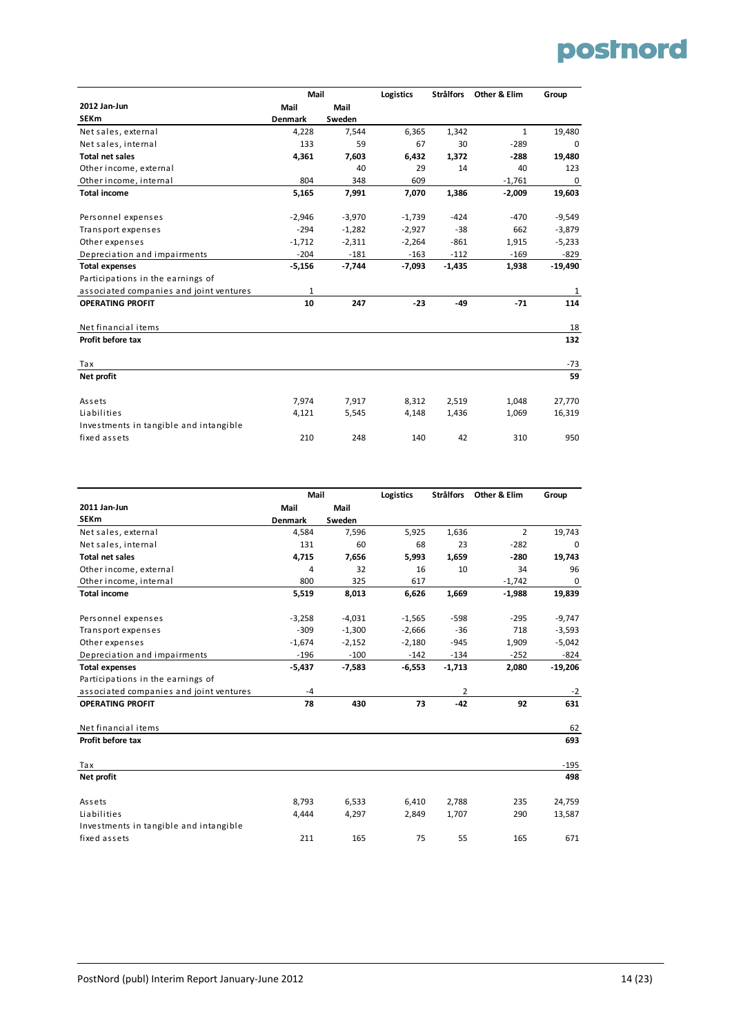

|                                         | Mail           |          | Logistics | <b>Strålfors</b> | Other & Elim | Group        |
|-----------------------------------------|----------------|----------|-----------|------------------|--------------|--------------|
| 2012 Jan-Jun                            | Mail           | Mail     |           |                  |              |              |
| <b>SEKm</b>                             | <b>Denmark</b> | Sweden   |           |                  |              |              |
| Net sales, external                     | 4,228          | 7,544    | 6,365     | 1,342            | $\mathbf{1}$ | 19,480       |
| Net sales, internal                     | 133            | 59       | 67        | 30               | $-289$       | $\mathbf 0$  |
| <b>Total net sales</b>                  | 4,361          | 7,603    | 6,432     | 1,372            | $-288$       | 19,480       |
| Other income, external                  |                | 40       | 29        | 14               | 40           | 123          |
| Other income, internal                  | 804            | 348      | 609       |                  | $-1,761$     | $\mathbf 0$  |
| <b>Total income</b>                     | 5,165          | 7,991    | 7,070     | 1,386            | $-2,009$     | 19,603       |
| Personnel expenses                      | $-2,946$       | $-3,970$ | $-1,739$  | $-424$           | $-470$       | $-9,549$     |
| Transport expenses                      | $-294$         | $-1,282$ | $-2,927$  | $-38$            | 662          | $-3,879$     |
| Other expenses                          | $-1,712$       | $-2,311$ | $-2,264$  | $-861$           | 1,915        | $-5,233$     |
| Depreciation and impairments            | $-204$         | $-181$   | $-163$    | $-112$           | $-169$       | $-829$       |
| <b>Total expenses</b>                   | $-5,156$       | $-7,744$ | $-7,093$  | $-1,435$         | 1,938        | $-19,490$    |
| Participations in the earnings of       |                |          |           |                  |              |              |
| associated companies and joint ventures | 1              |          |           |                  |              | $\mathbf{1}$ |
| <b>OPERATING PROFIT</b>                 | 10             | 247      | $-23$     | $-49$            | $-71$        | 114          |
| Net financial items                     |                |          |           |                  |              | 18           |
| Profit before tax                       |                |          |           |                  |              | 132          |
| Tax                                     |                |          |           |                  |              | $-73$        |
| Net profit                              |                |          |           |                  |              | 59           |
| Assets                                  | 7,974          | 7,917    | 8,312     | 2,519            | 1,048        | 27,770       |
| Liabilities                             | 4,121          | 5,545    | 4,148     | 1,436            | 1,069        | 16,319       |
| Investments in tangible and intangible  |                |          |           |                  |              |              |
| fixed assets                            | 210            | 248      | 140       | 42               | 310          | 950          |

|                                         | Mail           |          | Logistics | <b>Strålfors</b> | Other & Elim   | Group       |
|-----------------------------------------|----------------|----------|-----------|------------------|----------------|-------------|
| 2011 Jan-Jun                            | Mail           | Mail     |           |                  |                |             |
| <b>SEKm</b>                             | <b>Denmark</b> | Sweden   |           |                  |                |             |
| Net sales, external                     | 4,584          | 7,596    | 5,925     | 1,636            | $\overline{2}$ | 19,743      |
| Net sales, internal                     | 131            | 60       | 68        | 23               | $-282$         | $\mathbf 0$ |
| <b>Total net sales</b>                  | 4,715          | 7,656    | 5,993     | 1,659            | $-280$         | 19,743      |
| Other income, external                  | 4              | 32       | 16        | 10               | 34             | 96          |
| Other income, internal                  | 800            | 325      | 617       |                  | $-1,742$       | 0           |
| <b>Total income</b>                     | 5,519          | 8,013    | 6,626     | 1,669            | $-1,988$       | 19,839      |
| Personnel expenses                      | $-3,258$       | $-4,031$ | $-1,565$  | $-598$           | $-295$         | $-9,747$    |
| Transport expenses                      | $-309$         | $-1,300$ | $-2,666$  | $-36$            | 718            | $-3,593$    |
| Other expenses                          | $-1,674$       | $-2,152$ | $-2,180$  | $-945$           | 1,909          | $-5,042$    |
| Depreciation and impairments            | $-196$         | $-100$   | $-142$    | $-134$           | $-252$         | $-824$      |
| <b>Total expenses</b>                   | $-5,437$       | $-7,583$ | $-6,553$  | $-1,713$         | 2,080          | $-19,206$   |
| Participations in the earnings of       |                |          |           |                  |                |             |
| associated companies and joint ventures | $-4$           |          |           | $\overline{2}$   |                | $-2$        |
| <b>OPERATING PROFIT</b>                 | 78             | 430      | 73        | $-42$            | 92             | 631         |
| Net financial items                     |                |          |           |                  |                | 62          |
| Profit before tax                       |                |          |           |                  |                | 693         |
| Tax                                     |                |          |           |                  |                | $-195$      |
| Net profit                              |                |          |           |                  |                | 498         |
| Assets                                  | 8,793          | 6,533    | 6,410     | 2,788            | 235            | 24,759      |
| Liabilities                             | 4,444          | 4,297    | 2,849     | 1,707            | 290            | 13,587      |
| Investments in tangible and intangible  |                |          |           |                  |                |             |
| fixed assets                            | 211            | 165      | 75        | 55               | 165            | 671         |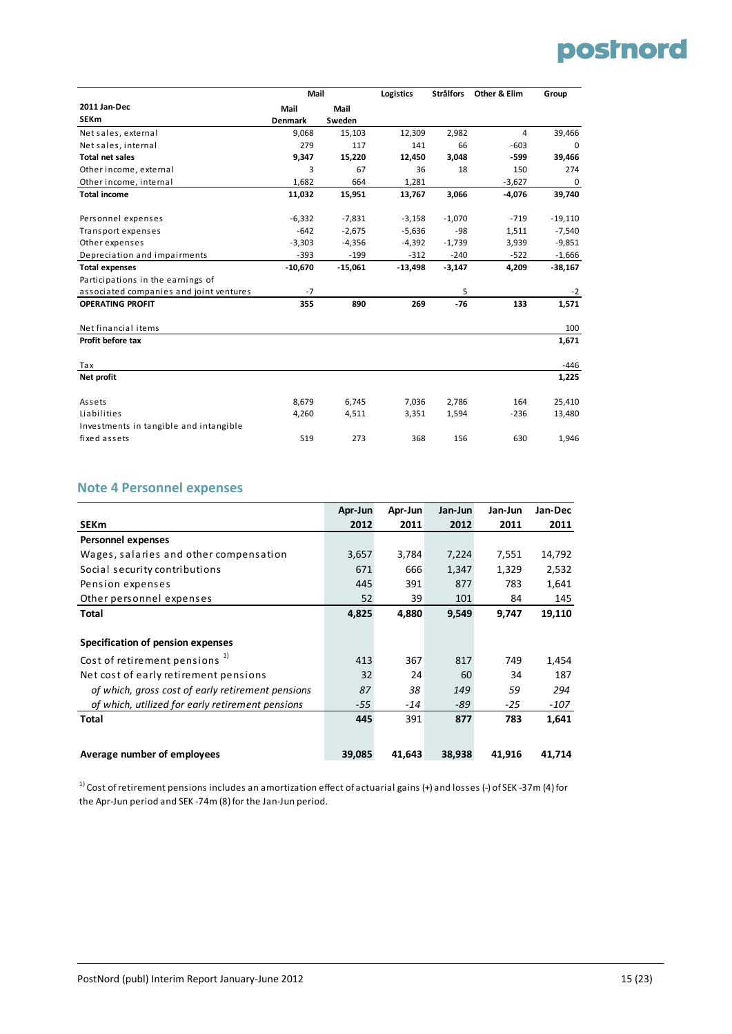

|                                         | Mail           |           | Logistics | <b>Strålfors</b> | Other & Elim | Group     |
|-----------------------------------------|----------------|-----------|-----------|------------------|--------------|-----------|
| 2011 Jan-Dec                            | Mail           | Mail      |           |                  |              |           |
| <b>SEKm</b>                             | <b>Denmark</b> | Sweden    |           |                  |              |           |
| Net sales, external                     | 9,068          | 15,103    | 12,309    | 2,982            | 4            | 39,466    |
| Net sales, internal                     | 279            | 117       | 141       | 66               | $-603$       | 0         |
| <b>Total net sales</b>                  | 9,347          | 15,220    | 12,450    | 3,048            | -599         | 39,466    |
| Other income, external                  | 3              | 67        | 36        | 18               | 150          | 274       |
| Other income, internal                  | 1,682          | 664       | 1,281     |                  | $-3,627$     | 0         |
| <b>Total income</b>                     | 11,032         | 15,951    | 13,767    | 3,066            | $-4,076$     | 39,740    |
| Personnel expenses                      | $-6,332$       | $-7,831$  | $-3,158$  | $-1,070$         | $-719$       | $-19,110$ |
| Transport expenses                      | $-642$         | $-2,675$  | $-5,636$  | $-98$            | 1,511        | $-7,540$  |
| Other expenses                          | $-3,303$       | $-4,356$  | $-4,392$  | $-1,739$         | 3,939        | $-9,851$  |
| Depreciation and impairments            | $-393$         | $-199$    | $-312$    | $-240$           | $-522$       | $-1,666$  |
| <b>Total expenses</b>                   | $-10,670$      | $-15,061$ | $-13,498$ | $-3,147$         | 4,209        | $-38,167$ |
| Participations in the earnings of       |                |           |           |                  |              |           |
| associated companies and joint ventures | $-7$           |           |           | 5                |              | $-2$      |
| <b>OPERATING PROFIT</b>                 | 355            | 890       | 269       | $-76$            | 133          | 1,571     |
| Net financial items                     |                |           |           |                  |              | 100       |
| Profit before tax                       |                |           |           |                  |              | 1,671     |
| Tax                                     |                |           |           |                  |              | $-446$    |
| Net profit                              |                |           |           |                  |              | 1,225     |
| Assets                                  | 8,679          | 6,745     | 7,036     | 2,786            | 164          | 25,410    |
| Liabilities                             | 4,260          | 4,511     | 3,351     | 1,594            | $-236$       | 13,480    |
| Investments in tangible and intangible  |                |           |           |                  |              |           |
| fixed assets                            | 519            | 273       | 368       | 156              | 630          | 1,946     |

#### **Note 4 Personnel expenses**

|                                                   | Apr-Jun | Apr-Jun | Jan-Jun | Jan-Jun | Jan-Dec |
|---------------------------------------------------|---------|---------|---------|---------|---------|
| <b>SEKm</b>                                       | 2012    | 2011    | 2012    | 2011    | 2011    |
| <b>Personnel expenses</b>                         |         |         |         |         |         |
| Wages, salaries and other compensation            | 3,657   | 3,784   | 7,224   | 7,551   | 14,792  |
| Social security contributions                     | 671     | 666     | 1,347   | 1,329   | 2,532   |
| Pension expenses                                  | 445     | 391     | 877     | 783     | 1,641   |
| Other personnel expenses                          | 52      | 39      | 101     | 84      | 145     |
| Total                                             | 4,825   | 4,880   | 9,549   | 9,747   | 19,110  |
|                                                   |         |         |         |         |         |
| Specification of pension expenses                 |         |         |         |         |         |
| Cost of retirement pensions <sup>1)</sup>         | 413     | 367     | 817     | 749     | 1,454   |
| Net cost of early retirement pensions             | 32      | 24      | 60      | 34      | 187     |
| of which, gross cost of early retirement pensions | 87      | 38      | 149     | 59      | 294     |
| of which, utilized for early retirement pensions  | $-55$   | -14     | -89     | $-25$   | -107    |
| Total                                             | 445     | 391     | 877     | 783     | 1,641   |
|                                                   |         |         |         |         |         |
| Average number of employees                       | 39.085  | 41.643  | 38.938  | 41.916  | 41.714  |

<sup>1)</sup> Cost of retirement pensions includes an amortization effect of actuarial gains (+) and losses (-) of SEK -37m (4) for the Apr-Jun period and SEK -74m (8) for the Jan-Jun period.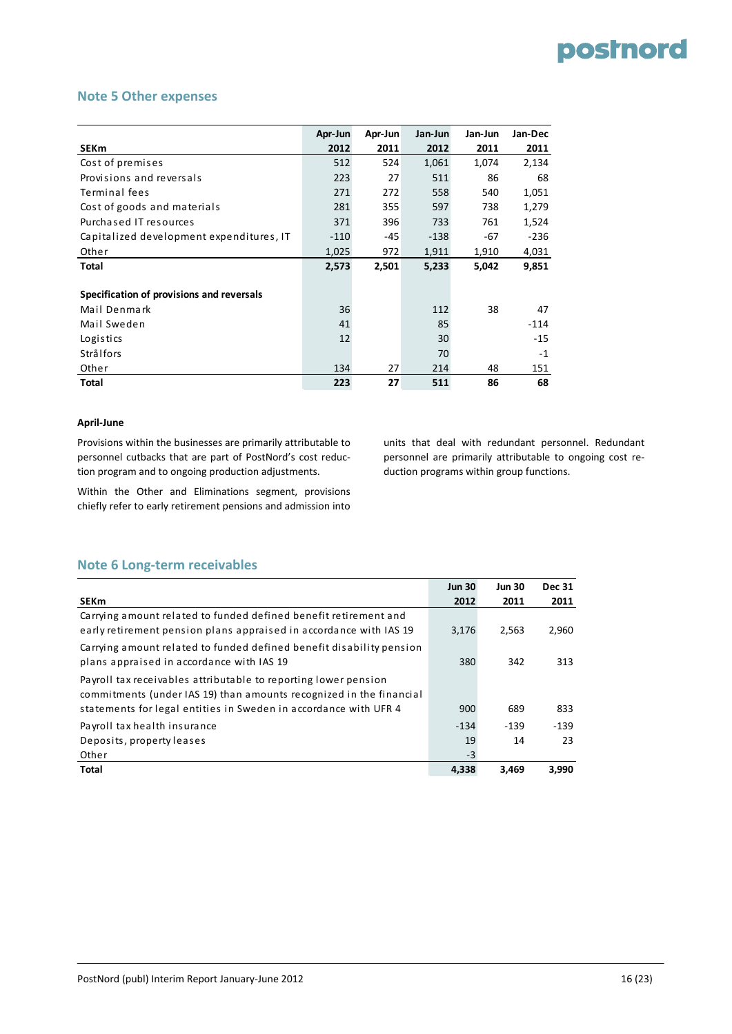#### **Note 5 Other expenses**

|                                           | Apr-Jun | Apr-Jun | Jan-Jun | Jan-Jun | Jan-Dec |
|-------------------------------------------|---------|---------|---------|---------|---------|
| <b>SEKm</b>                               | 2012    | 2011    | 2012    | 2011    | 2011    |
| Cost of premises                          | 512     | 524     | 1,061   | 1,074   | 2,134   |
| Provisions and reversals                  | 223     | 27      | 511     | 86      | 68      |
| Terminal fees                             | 271     | 272     | 558     | 540     | 1,051   |
| Cost of goods and materials               | 281     | 355     | 597     | 738     | 1,279   |
| Purchased IT resources                    | 371     | 396     | 733     | 761     | 1,524   |
| Capitalized development expenditures, IT  | $-110$  | $-45$   | $-138$  | -67     | $-236$  |
| Other                                     | 1,025   | 972     | 1,911   | 1,910   | 4,031   |
| Total                                     | 2,573   | 2,501   | 5,233   | 5,042   | 9,851   |
|                                           |         |         |         |         |         |
| Specification of provisions and reversals |         |         |         |         |         |
| Mail Denmark                              | 36      |         | 112     | 38      | 47      |
| Mail Sweden                               | 41      |         | 85      |         | $-114$  |
| Logistics                                 | 12      |         | 30      |         | $-15$   |
| Strålfors                                 |         |         | 70      |         | $-1$    |
| Other                                     | 134     | 27      | 214     | 48      | 151     |
| Total                                     | 223     | 27      | 511     | 86      | 68      |

#### **April‐June**

Provisions within the businesses are primarily attributable to personnel cutbacks that are part of PostNord's cost reduc‐ tion program and to ongoing production adjustments.

Within the Other and Eliminations segment, provisions chiefly refer to early retirement pensions and admission into

units that deal with redundant personnel. Redundant personnel are primarily attributable to ongoing cost re‐ duction programs within group functions.

#### **Note 6 Long‐term receivables**

|                                                                                                                                        | <b>Jun 30</b> | <b>Jun 30</b> | <b>Dec 31</b> |
|----------------------------------------------------------------------------------------------------------------------------------------|---------------|---------------|---------------|
| SEKm                                                                                                                                   | 2012          | 2011          | 2011          |
| Carrying amount related to funded defined benefit retirement and<br>early retirement pension plans appraised in accordance with IAS 19 | 3,176         | 2,563         | 2,960         |
| Carrying amount related to funded defined benefit disability pension<br>plans appraised in accordance with IAS 19                      | 380           | 342           | 313           |
| Payroll tax receivables attributable to reporting lower pension<br>commitments (under IAS 19) than amounts recognized in the financial |               |               |               |
| statements for legal entities in Sweden in accordance with UFR 4                                                                       | 900           | 689           | 833           |
| Payroll tax health insurance                                                                                                           | $-134$        | $-139$        | $-139$        |
| Deposits, property leases                                                                                                              | 19            | 14            | 23            |
| Other                                                                                                                                  | $-3$          |               |               |
| Total                                                                                                                                  | 4,338         | 3.469         | 3,990         |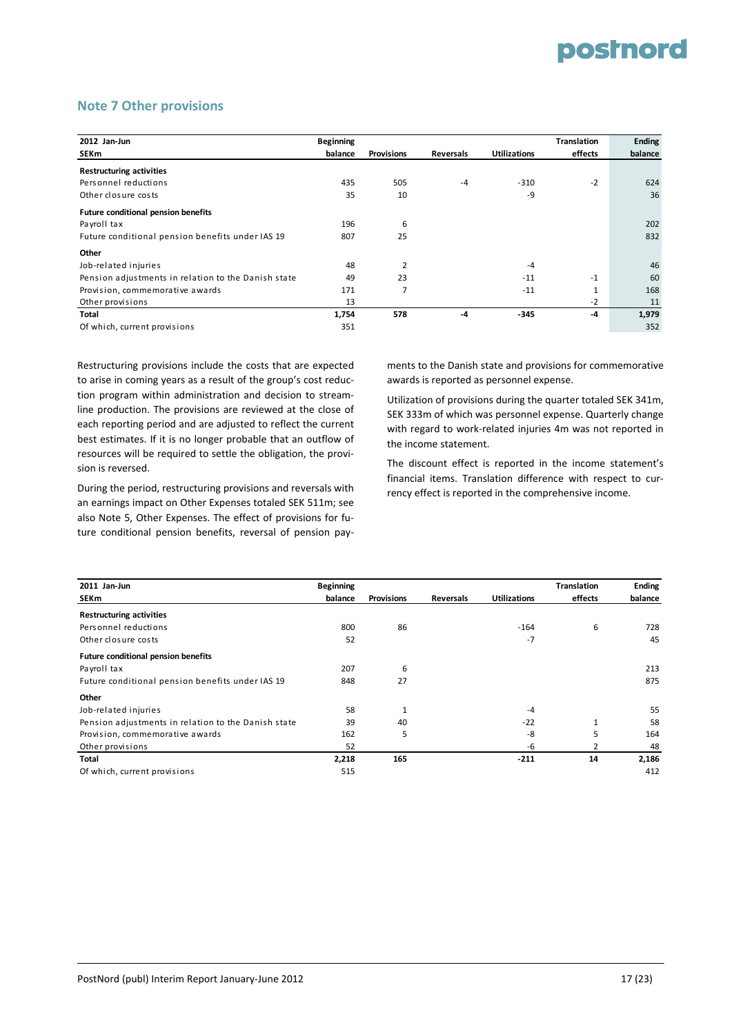#### **Note 7 Other provisions**

| 2012 Jan-Jun                                        | <b>Beginning</b> |                   |                  |                     | <b>Translation</b> | <b>Ending</b> |
|-----------------------------------------------------|------------------|-------------------|------------------|---------------------|--------------------|---------------|
| <b>SEKm</b>                                         | balance          | <b>Provisions</b> | <b>Reversals</b> | <b>Utilizations</b> | effects            | balance       |
| <b>Restructuring activities</b>                     |                  |                   |                  |                     |                    |               |
| Personnel reductions                                | 435              | 505               | $-4$             | $-310$              | $-2$               | 624           |
| Other closure costs                                 | 35               | 10                |                  | -9                  |                    | 36            |
| <b>Future conditional pension benefits</b>          |                  |                   |                  |                     |                    |               |
| Payroll tax                                         | 196              | 6                 |                  |                     |                    | 202           |
| Future conditional pension benefits under IAS 19    | 807              | 25                |                  |                     |                    | 832           |
| Other                                               |                  |                   |                  |                     |                    |               |
| Job-related injuries                                | 48               | $\overline{2}$    |                  | $-4$                |                    | 46            |
| Pension adjustments in relation to the Danish state | 49               | 23                |                  | $-11$               | $-1$               | 60            |
| Provision, commemorative awards                     | 171              | 7                 |                  | $-11$               | 1                  | 168           |
| Other provisions                                    | 13               |                   |                  |                     | $-2$               | 11            |
| Total                                               | 1,754            | 578               | $-4$             | $-345$              | $-4$               | 1,979         |
| Of which, current provisions                        | 351              |                   |                  |                     |                    | 352           |

Restructuring provisions include the costs that are expected to arise in coming years as a result of the group's cost reduc‐ tion program within administration and decision to stream‐ line production. The provisions are reviewed at the close of each reporting period and are adjusted to reflect the current best estimates. If it is no longer probable that an outflow of resources will be required to settle the obligation, the provi‐ sion is reversed.

During the period, restructuring provisions and reversals with an earnings impact on Other Expenses totaled SEK 511m; see also Note 5, Other Expenses. The effect of provisions for fu‐ ture conditional pension benefits, reversal of pension pay‐

ments to the Danish state and provisions for commemorative awards is reported as personnel expense.

Utilization of provisions during the quarter totaled SEK 341m, SEK 333m of which was personnel expense. Quarterly change with regard to work-related injuries 4m was not reported in the income statement.

The discount effect is reported in the income statement's financial items. Translation difference with respect to cur‐ rency effect is reported in the comprehensive income.

| 2011 Jan-Jun                                        | <b>Beginning</b> |                   |                  |                     | <b>Translation</b> | <b>Ending</b> |
|-----------------------------------------------------|------------------|-------------------|------------------|---------------------|--------------------|---------------|
| <b>SEKm</b>                                         | balance          | <b>Provisions</b> | <b>Reversals</b> | <b>Utilizations</b> | effects            | balance       |
| <b>Restructuring activities</b>                     |                  |                   |                  |                     |                    |               |
| Personnel reductions                                | 800              | 86                |                  | $-164$              | 6                  | 728           |
| Other closure costs                                 | 52               |                   |                  | $-7$                |                    | 45            |
| <b>Future conditional pension benefits</b>          |                  |                   |                  |                     |                    |               |
| Payroll tax                                         | 207              | 6                 |                  |                     |                    | 213           |
| Future conditional pension benefits under IAS 19    | 848              | 27                |                  |                     |                    | 875           |
| Other                                               |                  |                   |                  |                     |                    |               |
| Job-related injuries                                | 58               |                   |                  | $-4$                |                    | 55            |
| Pension adjustments in relation to the Danish state | 39               | 40                |                  | $-22$               | 1                  | 58            |
| Provision, commemorative awards                     | 162              | 5                 |                  | -8                  | 5                  | 164           |
| Other provisions                                    | 52               |                   |                  | -6                  |                    | 48            |
| Total                                               | 2,218            | 165               |                  | $-211$              | 14                 | 2,186         |
| Of which, current provisions                        | 515              |                   |                  |                     |                    | 412           |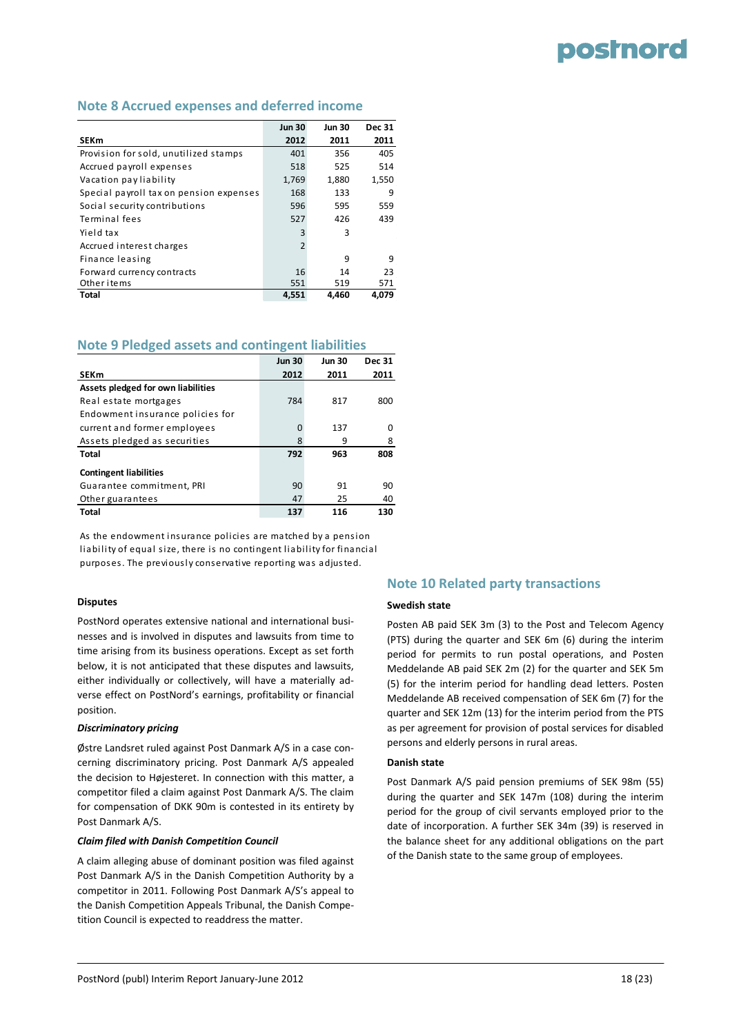#### **Note 8 Accrued expenses and deferred income**

|                                         | <b>Jun 30</b>  | <b>Jun 30</b> | <b>Dec 31</b> |
|-----------------------------------------|----------------|---------------|---------------|
| <b>SEKm</b>                             | 2012           | 2011          | 2011          |
| Provision for sold, unutilized stamps   | 401            | 356           | 405           |
| Accrued payroll expenses                | 518            | 525           | 514           |
| Vacation pay liability                  | 1,769          | 1,880         | 1,550         |
| Special payroll tax on pension expenses | 168            | 133           | 9             |
| Social security contributions           | 596            | 595           | 559           |
| Terminal fees                           | 527            | 426           | 439           |
| Yield tax                               | 3              | 3             |               |
| Accrued interest charges                | $\overline{2}$ |               |               |
| Finance leasing                         |                | 9             | 9             |
| Forward currency contracts              | 16             | 14            | 23            |
| Other items                             | 551            | 519           | 571           |
| <b>Total</b>                            | 4.551          | 4.460         | 4.079         |

#### **Note 9 Pledged assets and contingent liabilities**

|                                    | <b>Jun 30</b> | <b>Jun 30</b> | <b>Dec 31</b> |
|------------------------------------|---------------|---------------|---------------|
| <b>SEKm</b>                        | 2012          | 2011          | 2011          |
| Assets pledged for own liabilities |               |               |               |
| Real estate mortgages              | 784           | 817           | 800           |
| Endowment insurance policies for   |               |               |               |
| current and former employees       | 0             | 137           | ŋ             |
| Assets pledged as securities       | 8             | 9             | 8             |
| <b>Total</b>                       | 792           | 963           | 808           |
| <b>Contingent liabilities</b>      |               |               |               |
| Guarantee commitment, PRI          | 90            | 91            | 90            |
| Other guarantees                   | 47            | 25            | 40            |
| <b>Total</b>                       | 137           | 116           | 130           |

As the endowment insurance policies are matched by a pension liability of equal size, there is no contingent liability for financial purposes. The previously conservative reporting was adjusted.

#### **Disputes**

PostNord operates extensive national and international busi‐ nesses and is involved in disputes and lawsuits from time to time arising from its business operations. Except as set forth below, it is not anticipated that these disputes and lawsuits, either individually or collectively, will have a materially ad‐ verse effect on PostNord's earnings, profitability or financial position.

#### *Discriminatory pricing*

Østre Landsret ruled against Post Danmark A/S in a case con‐ cerning discriminatory pricing. Post Danmark A/S appealed the decision to Højesteret. In connection with this matter, a competitor filed a claim against Post Danmark A/S. The claim for compensation of DKK 90m is contested in its entirety by Post Danmark A/S.

#### *Claim filed with Danish Competition Council*

A claim alleging abuse of dominant position was filed against Post Danmark A/S in the Danish Competition Authority by a competitor in 2011. Following Post Danmark A/S's appeal to the Danish Competition Appeals Tribunal, the Danish Compe‐ tition Council is expected to readdress the matter.

#### **Note 10 Related party transactions**

#### **Swedish state**

Posten AB paid SEK 3m (3) to the Post and Telecom Agency (PTS) during the quarter and SEK 6m (6) during the interim period for permits to run postal operations, and Posten Meddelande AB paid SEK 2m (2) for the quarter and SEK 5m (5) for the interim period for handling dead letters. Posten Meddelande AB received compensation of SEK 6m (7) for the quarter and SEK 12m (13) for the interim period from the PTS as per agreement for provision of postal services for disabled persons and elderly persons in rural areas.

#### **Danish state**

Post Danmark A/S paid pension premiums of SEK 98m (55) during the quarter and SEK 147m (108) during the interim period for the group of civil servants employed prior to the date of incorporation. A further SEK 34m (39) is reserved in the balance sheet for any additional obligations on the part of the Danish state to the same group of employees.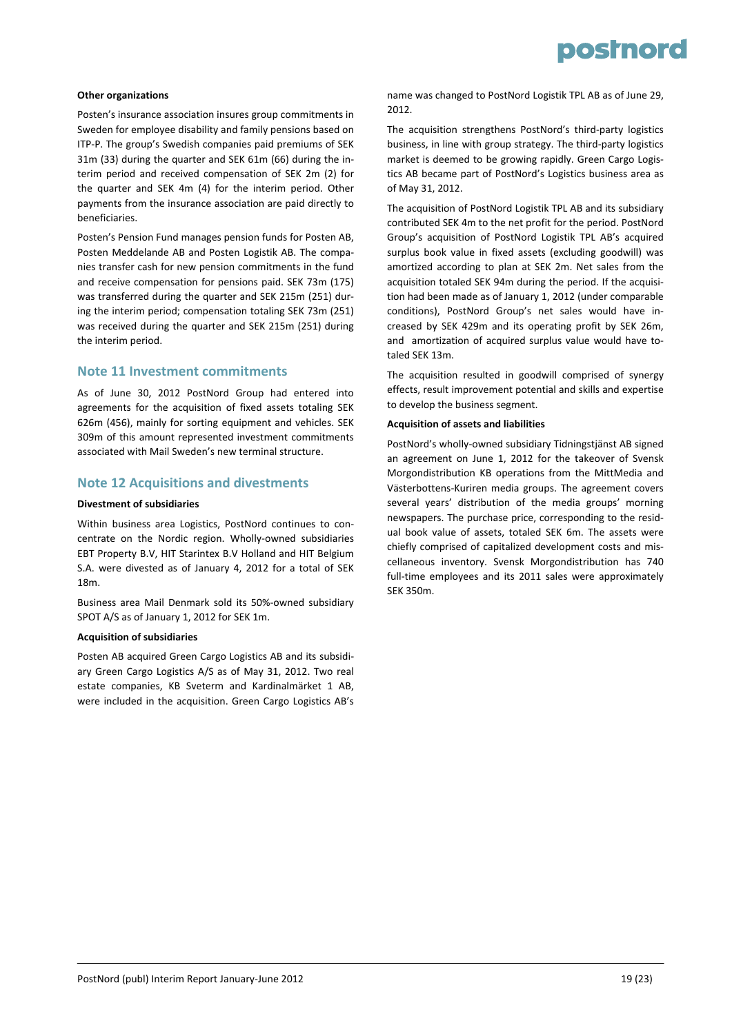

#### **Other organizations**

Posten's insurance association insures group commitments in Sweden for employee disability and family pensions based on ITP‐P. The group's Swedish companies paid premiums of SEK 31m (33) during the quarter and SEK 61m (66) during the in‐ terim period and received compensation of SEK 2m (2) for the quarter and SEK 4m (4) for the interim period. Other payments from the insurance association are paid directly to beneficiaries.

Posten's Pension Fund manages pension funds for Posten AB, Posten Meddelande AB and Posten Logistik AB. The compa‐ nies transfer cash for new pension commitments in the fund and receive compensation for pensions paid. SEK 73m (175) was transferred during the quarter and SEK 215m (251) dur‐ ing the interim period; compensation totaling SEK 73m (251) was received during the quarter and SEK 215m (251) during the interim period.

#### **Note 11 Investment commitments**

As of June 30, 2012 PostNord Group had entered into agreements for the acquisition of fixed assets totaling SEK 626m (456), mainly for sorting equipment and vehicles. SEK 309m of this amount represented investment commitments associated with Mail Sweden's new terminal structure.

#### **Note 12 Acquisitions and divestments**

#### **Divestment of subsidiaries**

Within business area Logistics, PostNord continues to concentrate on the Nordic region. Wholly‐owned subsidiaries EBT Property B.V, HIT Starintex B.V Holland and HIT Belgium S.A. were divested as of January 4, 2012 for a total of SEK 18m.

Business area Mail Denmark sold its 50%‐owned subsidiary SPOT A/S as of January 1, 2012 for SEK 1m.

#### **Acquisition of subsidiaries**

Posten AB acquired Green Cargo Logistics AB and its subsidi‐ ary Green Cargo Logistics A/S as of May 31, 2012. Two real estate companies, KB Sveterm and Kardinalmärket 1 AB, were included in the acquisition. Green Cargo Logistics AB's name was changed to PostNord Logistik TPL AB as of June 29, 2012.

The acquisition strengthens PostNord's third‐party logistics business, in line with group strategy. The third‐party logistics market is deemed to be growing rapidly. Green Cargo Logis‐ tics AB became part of PostNord's Logistics business area as of May 31, 2012.

The acquisition of PostNord Logistik TPL AB and its subsidiary contributed SEK 4m to the net profit for the period. PostNord Group's acquisition of PostNord Logistik TPL AB's acquired surplus book value in fixed assets (excluding goodwill) was amortized according to plan at SEK 2m. Net sales from the acquisition totaled SEK 94m during the period. If the acquisi‐ tion had been made as of January 1, 2012 (under comparable conditions), PostNord Group's net sales would have in‐ creased by SEK 429m and its operating profit by SEK 26m, and amortization of acquired surplus value would have totaled SEK 13m.

The acquisition resulted in goodwill comprised of synergy effects, result improvement potential and skills and expertise to develop the business segment.

#### **Acquisition of assets and liabilities**

PostNord's wholly‐owned subsidiary Tidningstjänst AB signed an agreement on June 1, 2012 for the takeover of Svensk Morgondistribution KB operations from the MittMedia and Västerbottens‐Kuriren media groups. The agreement covers several years' distribution of the media groups' morning newspapers. The purchase price, corresponding to the resid‐ ual book value of assets, totaled SEK 6m. The assets were chiefly comprised of capitalized development costs and mis‐ cellaneous inventory. Svensk Morgondistribution has 740 full-time employees and its 2011 sales were approximately SEK 350m.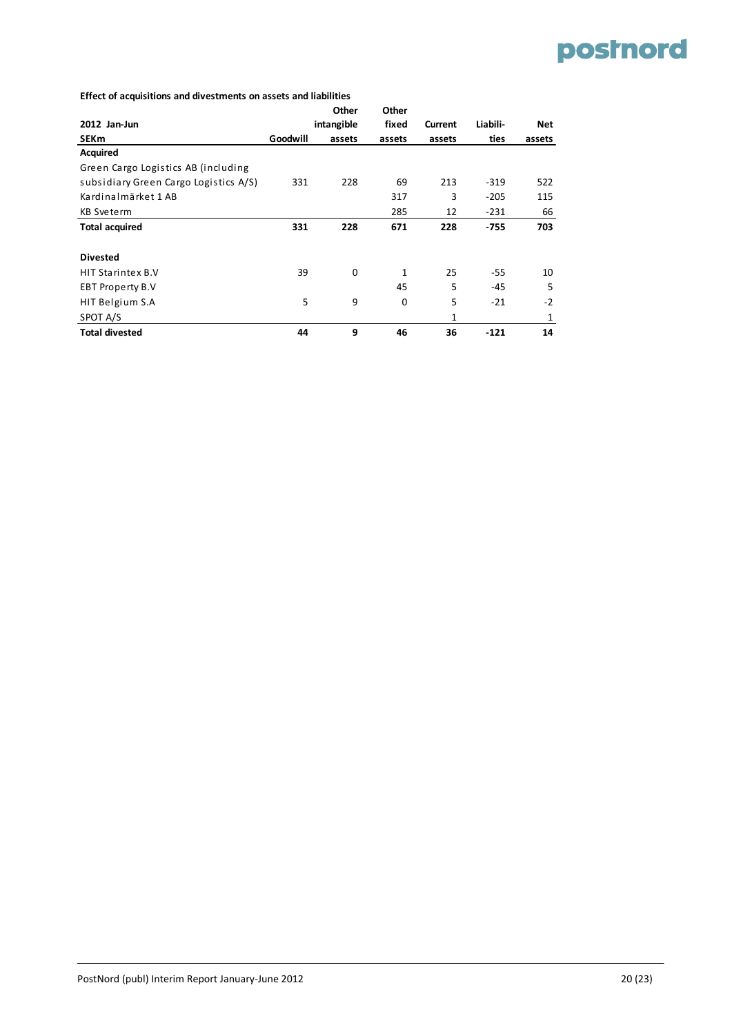#### **Effect of acquisitions and divestments on assets and liabilities**

|                                       |          | Other      | Other        |         |          |        |
|---------------------------------------|----------|------------|--------------|---------|----------|--------|
| 2012 Jan-Jun                          |          | intangible | fixed        | Current | Liabili- | Net    |
| <b>SEKm</b>                           | Goodwill | assets     | assets       | assets  | ties     | assets |
| <b>Acquired</b>                       |          |            |              |         |          |        |
| Green Cargo Logistics AB (including   |          |            |              |         |          |        |
| subsidiary Green Cargo Logistics A/S) | 331      | 228        | 69           | 213     | $-319$   | 522    |
| Kardinalmärket 1 AB                   |          |            | 317          | 3       | $-205$   | 115    |
| KB Sveterm                            |          |            | 285          | 12      | $-231$   | 66     |
| <b>Total acquired</b>                 | 331      | 228        | 671          | 228     | -755     | 703    |
|                                       |          |            |              |         |          |        |
| <b>Divested</b>                       |          |            |              |         |          |        |
| <b>HIT Starintex B.V</b>              | 39       | 0          | $\mathbf{1}$ | 25      | $-55$    | 10     |
| <b>EBT Property B.V</b>               |          |            | 45           | 5       | $-45$    | 5      |
| HIT Belgium S.A                       | 5        | 9          | 0            | 5       | $-21$    | $-2$   |
| SPOT A/S                              |          |            |              | 1       |          | 1      |
| <b>Total divested</b>                 | 44       | 9          | 46           | 36      | $-121$   | 14     |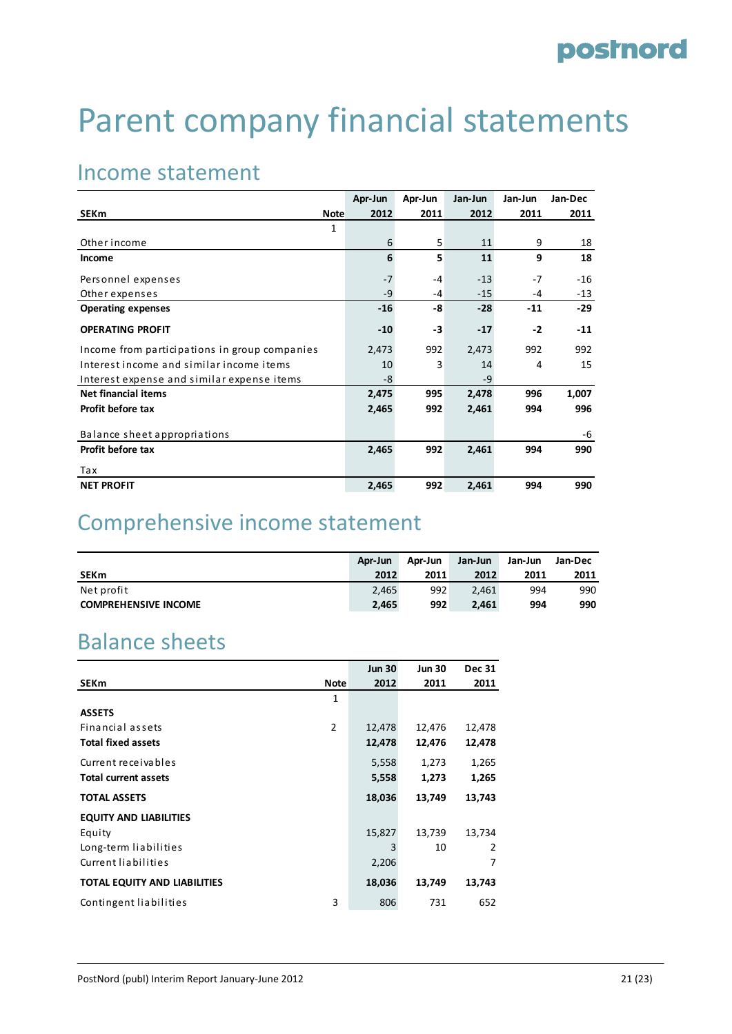# Parent company financial statements

### Income statement

|                                               | Apr-Jun | Apr-Jun | Jan-Jun | Jan-Jun | Jan-Dec |
|-----------------------------------------------|---------|---------|---------|---------|---------|
| <b>SEKm</b><br><b>Note</b>                    | 2012    | 2011    | 2012    | 2011    | 2011    |
| 1                                             |         |         |         |         |         |
| Other income                                  | 6       | 5       | 11      | 9       | 18      |
| <b>Income</b>                                 | 6       | 5       | 11      | 9       | 18      |
| Personnel expenses                            | $-7$    | $-4$    | $-13$   | $-7$    | $-16$   |
| Other expenses                                | $-9$    | $-4$    | $-15$   | $-4$    | $-13$   |
| <b>Operating expenses</b>                     | $-16$   | -8      | $-28$   | $-11$   | $-29$   |
| <b>OPERATING PROFIT</b>                       | $-10$   | -3      | $-17$   | $-2$    | $-11$   |
| Income from participations in group companies | 2,473   | 992     | 2,473   | 992     | 992     |
| Interest income and similar income items      | 10      | 3       | 14      | 4       | 15      |
| Interest expense and similar expense items    | -8      |         | $-9$    |         |         |
| Net financial items                           | 2,475   | 995     | 2,478   | 996     | 1,007   |
| Profit before tax                             | 2,465   | 992     | 2,461   | 994     | 996     |
| Balance sheet appropriations                  |         |         |         |         | -6      |
| Profit before tax                             | 2,465   | 992     | 2,461   | 994     | 990     |
| Tax                                           |         |         |         |         |         |
| <b>NET PROFIT</b>                             | 2,465   | 992     | 2,461   | 994     | 990     |

### Comprehensive income statement

|                             | Apr-Jun | Apr-Jun | Jan-Jun | Jan-Jun | Jan-Dec |
|-----------------------------|---------|---------|---------|---------|---------|
| <b>SEKm</b>                 | 2012    | 2011    | 2012    | 2011    | 2011    |
| Net profit                  | 2.465   | 992     | 2.461   | 994     | 990     |
| <b>COMPREHENSIVE INCOME</b> | 2.465   | 992     | 2.461   | 994     | 990     |

### Balance sheets

|                                     |                | <b>Jun 30</b> | <b>Jun 30</b> | <b>Dec 31</b> |
|-------------------------------------|----------------|---------------|---------------|---------------|
| <b>SEKm</b>                         | <b>Note</b>    | 2012          | 2011          | 2011          |
|                                     | 1              |               |               |               |
| <b>ASSETS</b>                       |                |               |               |               |
| Financial assets                    | $\overline{2}$ | 12,478        | 12,476        | 12,478        |
| <b>Total fixed assets</b>           |                | 12,478        | 12,476        | 12,478        |
| Current receivables                 |                | 5,558         | 1,273         | 1,265         |
| <b>Total current assets</b>         |                | 5,558         | 1,273         | 1,265         |
| <b>TOTAL ASSETS</b>                 |                | 18,036        | 13,749        | 13,743        |
| <b>EQUITY AND LIABILITIES</b>       |                |               |               |               |
| Equity                              |                | 15,827        | 13,739        | 13,734        |
| Long-term liabilities               |                | 3             | 10            | 2             |
| Current liabilities                 |                | 2,206         |               | 7             |
| <b>TOTAL EQUITY AND LIABILITIES</b> |                | 18,036        | 13,749        | 13,743        |
| Contingent liabilities              | 3              | 806           | 731           | 652           |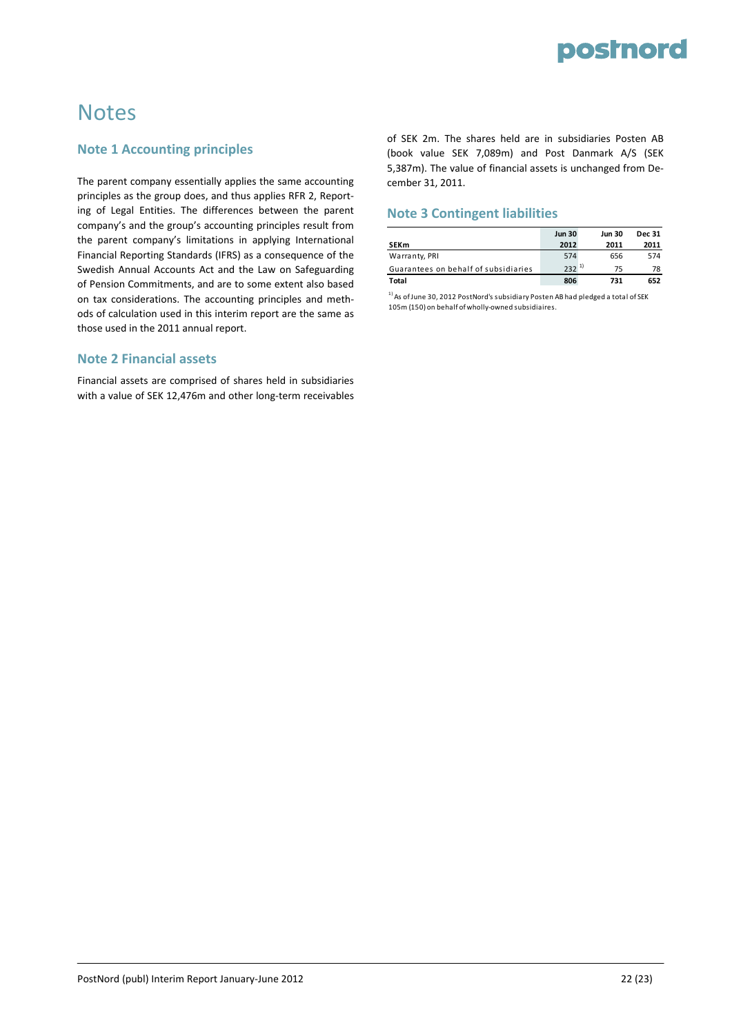

### **Notes**

#### **Note 1 Accounting principles**

The parent company essentially applies the same accounting principles as the group does, and thus applies RFR 2, Report‐ ing of Legal Entities. The differences between the parent company's and the group's accounting principles result from the parent company's limitations in applying International Financial Reporting Standards (IFRS) as a consequence of the Swedish Annual Accounts Act and the Law on Safeguarding of Pension Commitments, and are to some extent also based on tax considerations. The accounting principles and meth‐ ods of calculation used in this interim report are the same as those used in the 2011 annual report.

#### **Note 2 Financial assets**

Financial assets are comprised of shares held in subsidiaries with a value of SEK 12,476m and other long-term receivables

of SEK 2m. The shares held are in subsidiaries Posten AB (book value SEK 7,089m) and Post Danmark A/S (SEK 5,387m). The value of financial assets is unchanged from De‐ cember 31, 2011.

#### **Note 3 Contingent liabilities**

|                                      | <b>Jun 30</b> | <b>Jun 30</b> | <b>Dec 31</b> |
|--------------------------------------|---------------|---------------|---------------|
| <b>SEKm</b>                          | 2012          | 2011          | 2011          |
| Warranty, PRI                        | 574           | 656           | 574           |
| Guarantees on behalf of subsidiaries | $232^{11}$    | 75            | 78            |
| Total                                | 806           | 731           | 652           |

 $1)$  As of June 30, 2012 PostNord's subsidiary Posten AB had pledged a total of SEK 105m (150) on behalf of wholly‐owned subsidiaires.